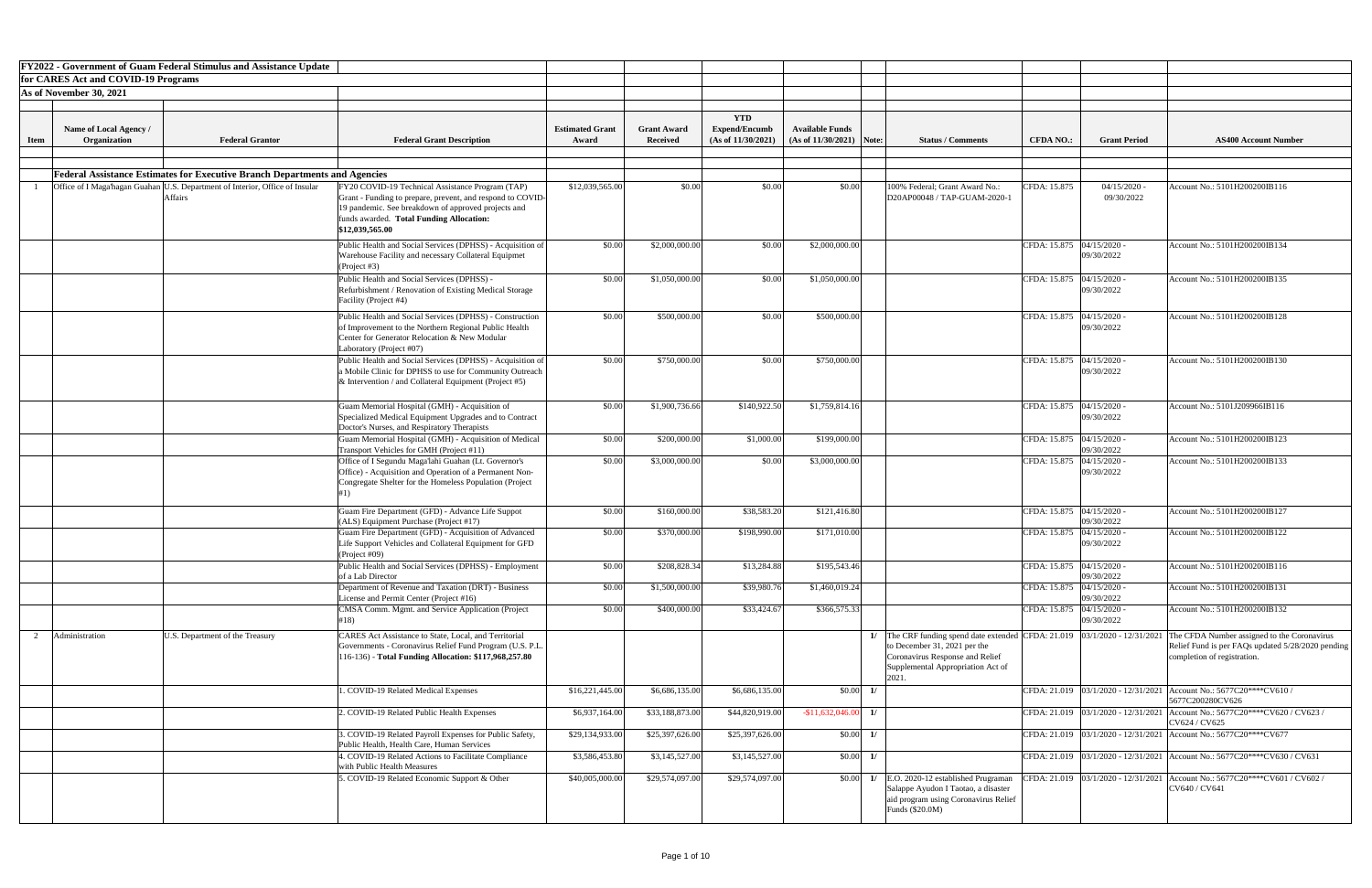|             |                                        | <b>FY2022 - Government of Guam Federal Stimulus and Assistance Update</b>                      |                                                                                                                                                                                                                                      |                                 |                                       |                                                          |                                                       |                 |                                                                                                                                                                                                  |                             |                              |                                                                                                                                 |
|-------------|----------------------------------------|------------------------------------------------------------------------------------------------|--------------------------------------------------------------------------------------------------------------------------------------------------------------------------------------------------------------------------------------|---------------------------------|---------------------------------------|----------------------------------------------------------|-------------------------------------------------------|-----------------|--------------------------------------------------------------------------------------------------------------------------------------------------------------------------------------------------|-----------------------------|------------------------------|---------------------------------------------------------------------------------------------------------------------------------|
|             | for CARES Act and COVID-19 Programs    |                                                                                                |                                                                                                                                                                                                                                      |                                 |                                       |                                                          |                                                       |                 |                                                                                                                                                                                                  |                             |                              |                                                                                                                                 |
|             | As of November 30, 2021                |                                                                                                |                                                                                                                                                                                                                                      |                                 |                                       |                                                          |                                                       |                 |                                                                                                                                                                                                  |                             |                              |                                                                                                                                 |
|             |                                        |                                                                                                |                                                                                                                                                                                                                                      |                                 |                                       |                                                          |                                                       |                 |                                                                                                                                                                                                  |                             |                              |                                                                                                                                 |
| <b>Item</b> | Name of Local Agency /<br>Organization | <b>Federal Grantor</b>                                                                         | <b>Federal Grant Description</b>                                                                                                                                                                                                     | <b>Estimated Grant</b><br>Award | <b>Grant Award</b><br><b>Received</b> | <b>YTD</b><br><b>Expend/Encumb</b><br>(As of 11/30/2021) | <b>Available Funds</b><br>(As of $11/30/2021$ ) Note: |                 | <b>Status / Comments</b>                                                                                                                                                                         | <b>CFDA NO.:</b>            | <b>Grant Period</b>          | <b>AS400 Account Number</b>                                                                                                     |
|             |                                        |                                                                                                |                                                                                                                                                                                                                                      |                                 |                                       |                                                          |                                                       |                 |                                                                                                                                                                                                  |                             |                              |                                                                                                                                 |
|             |                                        | <b>Federal Assistance Estimates for Executive Branch Departments and Agencies</b>              |                                                                                                                                                                                                                                      |                                 |                                       |                                                          |                                                       |                 |                                                                                                                                                                                                  |                             |                              |                                                                                                                                 |
|             |                                        | Office of I Maga'hagan Guahan U.S. Department of Interior, Office of Insular<br><b>Affairs</b> | FY20 COVID-19 Technical Assistance Program (TAP)<br>Grant - Funding to prepare, prevent, and respond to COVID-<br>19 pandemic. See breakdown of approved projects and<br>funds awarded. Total Funding Allocation:<br>\$12,039,565.00 | \$12,039,565.00                 | \$0.00                                | \$0.00                                                   | \$0.00                                                |                 | 100% Federal; Grant Award No.:<br>D20AP00048 / TAP-GUAM-2020-1                                                                                                                                   | CFDA: 15.875                | $04/15/2020$ .<br>09/30/2022 | Account No.: 5101H200200IB116                                                                                                   |
|             |                                        |                                                                                                | Public Health and Social Services (DPHSS) - Acquisition of<br>Warehouse Facility and necessary Collateral Equipmet<br>(Project #3)                                                                                                   | \$0.00                          | \$2,000,000.00                        | \$0.00                                                   | \$2,000,000.00                                        |                 |                                                                                                                                                                                                  | CFDA: 15.875   04/15/2020 - | 09/30/2022                   | Account No.: 5101H200200IB134                                                                                                   |
|             |                                        |                                                                                                | Public Health and Social Services (DPHSS) -<br>Refurbishment / Renovation of Existing Medical Storage<br>Facility (Project #4)                                                                                                       | \$0.00                          | \$1,050,000.00                        | \$0.00                                                   | \$1,050,000.00                                        |                 |                                                                                                                                                                                                  | CFDA: 15.875                | $04/15/2020$ -<br>09/30/2022 | Account No.: 5101H200200IB135                                                                                                   |
|             |                                        |                                                                                                | Public Health and Social Services (DPHSS) - Construction<br>of Improvement to the Northern Regional Public Health<br>Center for Generator Relocation & New Modular<br>Laboratory (Project #07)                                       | \$0.00                          | \$500,000.00                          | \$0.00                                                   | \$500,000.00                                          |                 |                                                                                                                                                                                                  | CFDA: 15.875 04/15/2020 -   | 09/30/2022                   | Account No.: 5101H200200IB128                                                                                                   |
|             |                                        |                                                                                                | Public Health and Social Services (DPHSS) - Acquisition of<br>a Mobile Clinic for DPHSS to use for Community Outreach<br>& Intervention / and Collateral Equipment (Project $#5$ )                                                   | \$0.00                          | \$750,000.00                          | \$0.00                                                   | \$750,000.00                                          |                 |                                                                                                                                                                                                  | CFDA: 15.875   04/15/2020 - | 09/30/2022                   | Account No.: 5101H200200IB130                                                                                                   |
|             |                                        |                                                                                                | Guam Memorial Hospital (GMH) - Acquisition of<br>Specialized Medical Equipment Upgrades and to Contract<br>Doctor's Nurses, and Respiratory Therapists                                                                               | \$0.00                          | \$1,900,736.66                        | \$140,922.50                                             | \$1,759,814.16                                        |                 |                                                                                                                                                                                                  | CFDA: 15.875 04/15/2020 -   | 09/30/2022                   | Account No.: 5101J209966IB116                                                                                                   |
|             |                                        |                                                                                                | Guam Memorial Hospital (GMH) - Acquisition of Medical<br>Transport Vehicles for GMH (Project #11)                                                                                                                                    | \$0.00                          | \$200,000.00                          | \$1,000.00                                               | \$199,000.00                                          |                 |                                                                                                                                                                                                  | CFDA: 15.875   04/15/2020 - | 09/30/2022                   | Account No.: 5101H200200IB123                                                                                                   |
|             |                                        |                                                                                                | Office of I Segundu Maga'lahi Guahan (Lt. Governor's<br>Office) - Acquisition and Operation of a Permanent Non-<br>Congregate Shelter for the Homeless Population (Project                                                           | \$0.00                          | \$3,000,000.00                        | \$0.00                                                   | \$3,000,000.00                                        |                 |                                                                                                                                                                                                  | CFDA: 15.875                | $04/15/2020$ -<br>09/30/2022 | Account No.: 5101H200200IB133                                                                                                   |
|             |                                        |                                                                                                | Guam Fire Department (GFD) - Advance Life Suppot<br>(ALS) Equipment Purchase (Project #17)                                                                                                                                           | \$0.00                          | \$160,000.00                          | \$38,583.20                                              | \$121,416.80                                          |                 |                                                                                                                                                                                                  | CFDA: 15.875 04/15/2020 -   | 09/30/2022                   | Account No.: 5101H200200IB127                                                                                                   |
|             |                                        |                                                                                                | Guam Fire Department (GFD) - Acquisition of Advanced<br>Life Support Vehicles and Collateral Equipment for GFD<br>(Project #09)                                                                                                      | \$0.00                          | \$370,000.00                          | \$198,990.00                                             | \$171,010.00                                          |                 |                                                                                                                                                                                                  | CFDA: 15.875   04/15/2020 - | 09/30/2022                   | Account No.: 5101H200200IB122                                                                                                   |
|             |                                        |                                                                                                | Public Health and Social Services (DPHSS) - Employment<br>of a Lab Director                                                                                                                                                          | \$0.00                          | \$208,828.34                          | \$13,284.88                                              | \$195,543.46                                          |                 |                                                                                                                                                                                                  | CFDA: 15.875 04/15/2020 -   | 09/30/2022                   | Account No.: 5101H200200IB116                                                                                                   |
|             |                                        |                                                                                                | Department of Revenue and Taxation (DRT) - Business<br>License and Permit Center (Project #16)                                                                                                                                       | \$0.00                          | \$1,500,000.00                        | \$39,980.76                                              | \$1,460,019.24                                        |                 |                                                                                                                                                                                                  | CFDA: 15.875                | $04/15/2020$ -<br>09/30/2022 | Account No.: 5101H200200IB131                                                                                                   |
|             |                                        |                                                                                                | CMSA Comm. Mgmt. and Service Application (Project<br>#18)                                                                                                                                                                            | \$0.00                          | \$400,000.00                          | \$33,424.67                                              | \$366,575.33                                          |                 |                                                                                                                                                                                                  | CFDA: 15.875   04/15/2020 - | 09/30/2022                   | Account No.: 5101H200200IB132                                                                                                   |
|             | Administration                         | U.S. Department of the Treasury                                                                | <b>CARES Act Assistance to State, Local, and Territorial</b><br>Governments - Coronavirus Relief Fund Program (U.S. P.L.<br>16-136) - Total Funding Allocation: \$117,968,257.80                                                     |                                 |                                       |                                                          |                                                       |                 | 1/ The CRF funding spend date extended CFDA: $21.019$ $ 03/1/2020 - 12/31/2021$<br>to December 31, 2021 per the<br>Coronavirus Response and Relief<br>Supplemental Appropriation Act of<br>2021. |                             |                              | The CFDA Number assigned to the Coronavirus<br>Relief Fund is per FAQs updated 5/28/2020 pending<br>completion of registration. |
|             |                                        |                                                                                                | . COVID-19 Related Medical Expenses                                                                                                                                                                                                  | \$16,221,445.00                 | \$6,686,135.00                        | \$6,686,135.00                                           |                                                       | $$0.00$ 1/      |                                                                                                                                                                                                  |                             |                              | CFDA: 21.019 03/1/2020 - 12/31/2021 Account No.: 5677C20****CV610 /<br>5677C200280CV626                                         |
|             |                                        |                                                                                                | 2. COVID-19 Related Public Health Expenses                                                                                                                                                                                           | \$6,937,164.00                  | \$33,188,873.00                       | \$44,820,919.00                                          | $-1,632,046.00$ 1/                                    |                 |                                                                                                                                                                                                  |                             |                              | CFDA: 21.019   03/1/2020 - 12/31/2021   Account No.: 5677C20****CV620 / CV623 /<br>CV624 / CV625                                |
|             |                                        |                                                                                                | . COVID-19 Related Payroll Expenses for Public Safety,<br>Public Health, Health Care, Human Services                                                                                                                                 | \$29,134,933.00                 | \$25,397,626.00                       | \$25,397,626.00                                          |                                                       | $$0.00\quad 1/$ |                                                                                                                                                                                                  |                             |                              | CFDA: 21.019 03/1/2020 - 12/31/2021 Account No.: 5677C20****CV677                                                               |
|             |                                        |                                                                                                | . COVID-19 Related Actions to Facilitate Compliance<br>with Public Health Measures                                                                                                                                                   | \$3,586,453.80                  | \$3,145,527.00                        | \$3,145,527.00                                           |                                                       | $$0.00$ 1/      |                                                                                                                                                                                                  |                             |                              | CFDA: 21.019   03/1/2020 - 12/31/2021   Account No.: 5677C20****CV630 / CV631                                                   |
|             |                                        |                                                                                                | . COVID-19 Related Economic Support & Other                                                                                                                                                                                          | \$40,005,000.00                 | \$29,574,097.00                       | \$29,574,097.00                                          |                                                       | $$0.00$ 1/      | E.O. 2020-12 established Prugraman<br>Salappe Ayudon I Taotao, a disaster<br>aid program using Coronavirus Relief<br>Funds (\$20.0M)                                                             |                             |                              | CFDA: 21.019   03/1/2020 - 12/31/2021   Account No.: 5677C20****CV601 / CV602 /<br>CV640 / CV641                                |

| Number                |
|-----------------------|
|                       |
|                       |
| $\overline{3116}$     |
|                       |
|                       |
| $\frac{1}{3134}$      |
|                       |
| 3135                  |
|                       |
|                       |
| $\frac{1}{3128}$      |
|                       |
|                       |
| 3130                  |
|                       |
| 116                   |
|                       |
|                       |
| 3123                  |
| 3133                  |
|                       |
|                       |
| 3127                  |
| $\frac{1}{3122}$      |
|                       |
| $\overline{3116}$     |
|                       |
| $\frac{1}{3131}$      |
| $\frac{1}{3132}$      |
|                       |
| to the Coronavirus    |
| ted 5/28/2020 pending |
|                       |
| $\sqrt{610/}$         |
|                       |
| V620 / CV623 /        |
| $\sqrt{677}$          |
| V630 / CV631          |
|                       |
| V601 / CV602 /        |
|                       |
|                       |
|                       |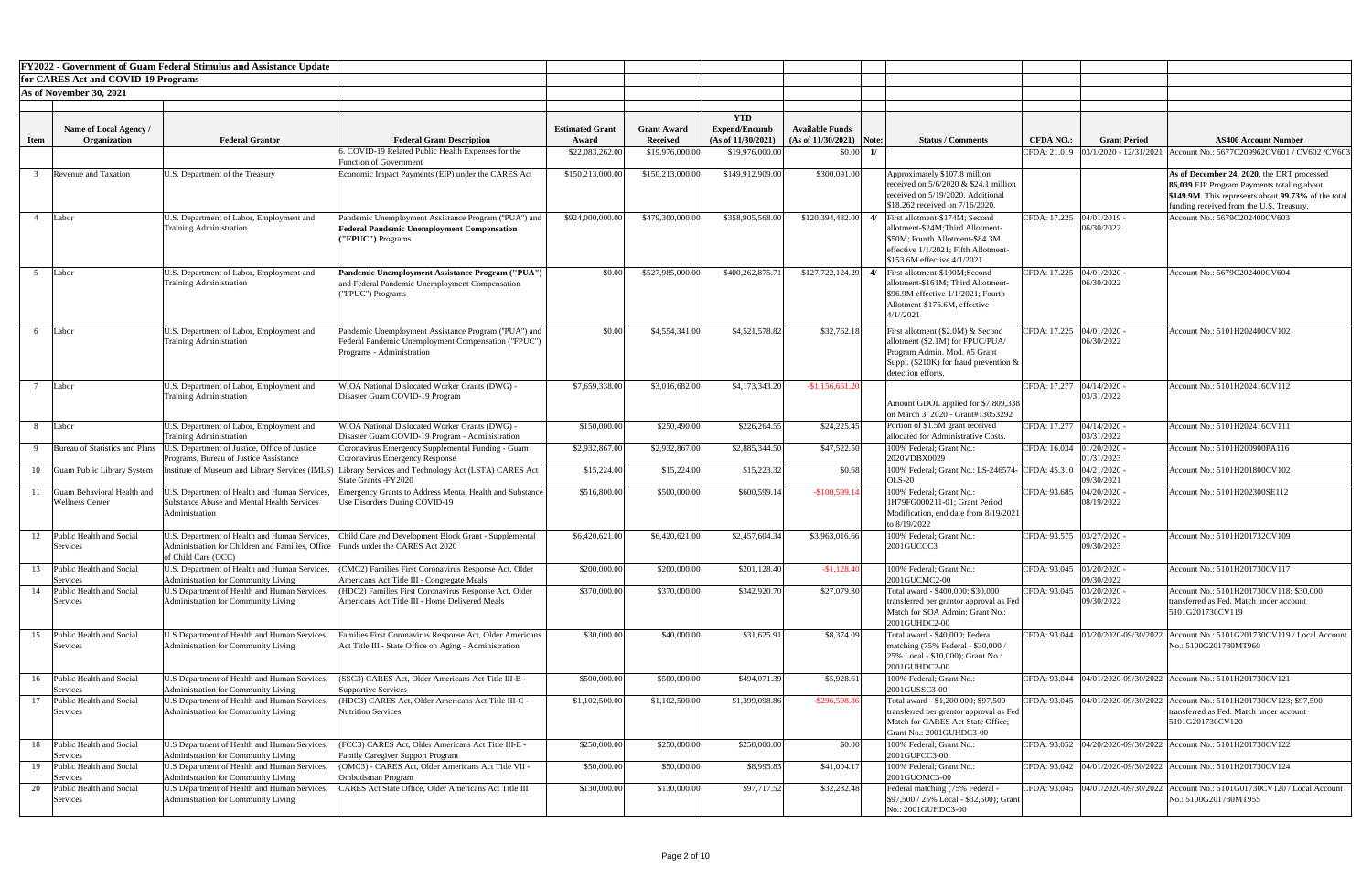|             |                                                      | <b>FY2022 - Government of Guam Federal Stimulus and Assistance Update</b>                                                                               |                                                                                                                                          |                                 |                                       |                                                          |                                                      |                                                                                                                                                                                                   |                                          |                          |                                                                                                                                                                                             |
|-------------|------------------------------------------------------|---------------------------------------------------------------------------------------------------------------------------------------------------------|------------------------------------------------------------------------------------------------------------------------------------------|---------------------------------|---------------------------------------|----------------------------------------------------------|------------------------------------------------------|---------------------------------------------------------------------------------------------------------------------------------------------------------------------------------------------------|------------------------------------------|--------------------------|---------------------------------------------------------------------------------------------------------------------------------------------------------------------------------------------|
|             | for CARES Act and COVID-19 Programs                  |                                                                                                                                                         |                                                                                                                                          |                                 |                                       |                                                          |                                                      |                                                                                                                                                                                                   |                                          |                          |                                                                                                                                                                                             |
|             | As of November 30, 2021                              |                                                                                                                                                         |                                                                                                                                          |                                 |                                       |                                                          |                                                      |                                                                                                                                                                                                   |                                          |                          |                                                                                                                                                                                             |
| <b>Item</b> | Name of Local Agency /<br>Organization               | <b>Federal Grantor</b>                                                                                                                                  | <b>Federal Grant Description</b>                                                                                                         | <b>Estimated Grant</b><br>Award | <b>Grant Award</b><br><b>Received</b> | <b>YTD</b><br><b>Expend/Encumb</b><br>(As of 11/30/2021) | <b>Available Funds</b><br>$(As of 11/30/2021)$ Note: | <b>Status / Comments</b>                                                                                                                                                                          | <b>CFDA NO.:</b>                         | <b>Grant Period</b>      | <b>AS400 Account Number</b>                                                                                                                                                                 |
|             |                                                      |                                                                                                                                                         | 5. COVID-19 Related Public Health Expenses for the                                                                                       | \$22,083,262.00                 | \$19,976,000.00                       | \$19,976,000.00                                          | \$0.00                                               |                                                                                                                                                                                                   |                                          |                          | CFDA: 21.019   03/1/2020 - 12/31/2021   Account No.: 5677C209962CV601 / CV602 / CV603                                                                                                       |
|             | <b>Revenue and Taxation</b>                          | U.S. Department of the Treasury                                                                                                                         | <b>Function of Government</b><br>Economic Impact Payments (EIP) under the CARES Act                                                      | \$150,213,000.00                | \$150,213,000.00                      | \$149,912,909.00                                         | \$300,091.00                                         | Approximately \$107.8 million<br>received on $5/6/2020$ & \$24.1 million<br>received on 5/19/2020. Additional<br>\$18.262 received on 7/16/2020.                                                  |                                          |                          | As of December 24, 2020, the DRT processed<br>86,039 EIP Program Payments totaling about<br>\$149.9M. This represents about 99.73% of the total<br>funding received from the U.S. Treasury. |
|             | Labor                                                | U.S. Department of Labor, Employment and<br><b>Training Administration</b>                                                                              | Pandemic Unemployment Assistance Program ("PUA") and<br><b>Federal Pandemic Unemployment Compensation</b><br>("FPUC") Programs           | \$924,000,000.00                | \$479,300,000.00                      | \$358,905,568.00                                         |                                                      | $$120,394,432.00$ 4/ First allotment-\$174M; Second<br>allotment-\$24M;Third Allotment-<br>\$50M; Fourth Allotment-\$84.3M<br>effective 1/1/2021; Fifth Allotment-<br>\$153.6M effective 4/1/2021 | CFDA: 17.225 04/01/2019 -                | 06/30/2022               | Account No.: 5679C202400CV603                                                                                                                                                               |
|             | Labor                                                | U.S. Department of Labor, Employment and<br><b>Training Administration</b>                                                                              | Pandemic Unemployment Assistance Program ("PUA")<br>and Federal Pandemic Unemployment Compensation<br>("FPUC") Programs                  | \$0.00                          | \$527,985,000.00                      | \$400,262,875.71                                         |                                                      | $$127,722,124.29$ 4/ First allotment-\$100M;Second<br>allotment-\$161M; Third Allotment-<br>$\$96.9M$ effective $1/1/2021$ ; Fourth<br>Allotment-\$176.6M, effective<br>4/1//2021                 | CFDA: 17.225   04/01/2020 -              | 06/30/2022               | Account No.: 5679C202400CV604                                                                                                                                                               |
|             | Labor                                                | U.S. Department of Labor, Employment and<br><b>Training Administration</b>                                                                              | Pandemic Unemployment Assistance Program ("PUA") and<br>Federal Pandemic Unemployment Compensation ("FPUC")<br>Programs - Administration | \$0.00                          | \$4,554,341.00                        | \$4,521,578.82                                           | \$32,762.18                                          | First allotment (\$2.0M) & Second<br>allotment (\$2.1M) for FPUC/PUA/<br>Program Admin. Mod. #5 Grant<br>Suppl. (\$210K) for fraud prevention $\&$<br>detection efforts.                          | CFDA: 17.225 04/01/2020 -                | 06/30/2022               | Account No.: 5101H202400CV102                                                                                                                                                               |
|             | Labor                                                | U.S. Department of Labor, Employment and<br><b>Training Administration</b>                                                                              | WIOA National Dislocated Worker Grants (DWG) -<br>Disaster Guam COVID-19 Program                                                         | \$7,659,338.00                  | \$3,016,682.00                        | \$4,173,343.20                                           | $-$1,156,661.2$                                      | Amount GDOL applied for \$7,809,338<br>on March 3, 2020 - Grant#13053292                                                                                                                          | CFDA: 17.277 04/14/2020 -                | 03/31/2022               | Account No.: 5101H202416CV112                                                                                                                                                               |
|             | Labor                                                | U.S. Department of Labor, Employment and<br><b>Training Administration</b>                                                                              | WIOA National Dislocated Worker Grants (DWG) -<br>Disaster Guam COVID-19 Program - Administration                                        | \$150,000.00                    | \$250,490.00                          | \$226,264.55                                             | \$24,225.45                                          | Portion of \$1.5M grant received<br>allocated for Administrative Costs.                                                                                                                           | CFDA: 17.277   04/14/2020 -              | 03/31/2022               | Account No.: 5101H202416CV111                                                                                                                                                               |
|             | Bureau of Statistics and Plans                       | U.S. Department of Justice, Office of Justice<br>Programs, Bureau of Justice Assistance                                                                 | Coronavirus Emergency Supplemental Funding - Guam<br>Coronavirus Emergency Response                                                      | \$2,932,867.00                  | \$2,932,867.00                        | \$2,885,344.50                                           | \$47,522.50                                          | 100% Federal; Grant No.:<br>2020VDBX0029                                                                                                                                                          | CFDA: 16.034 01/20/2020 -                | 01/31/2023               | Account No.: 5101H200900PA116                                                                                                                                                               |
| 10          | <b>Guam Public Library System</b>                    | Institute of Museum and Library Services (IMLS)                                                                                                         | Library Services and Technology Act (LSTA) CARES Act<br>State Grants - FY2020                                                            | \$15,224.00                     | \$15,224.00                           | \$15,223.32                                              | \$0.68                                               | 100% Federal; Grant No.: LS-246574-<br><b>OLS-20</b>                                                                                                                                              | CFDA: $45.310 \left  04/21/2020 \right $ | 09/30/2021               | Account No.: 5101H201800CV102                                                                                                                                                               |
|             | Guam Behavioral Health and<br><b>Wellness Center</b> | J.S. Department of Health and Human Services,<br><b>Substance Abuse and Mental Health Services</b><br>Administration                                    | mergency Grants to Address Mental Health and Substance<br>Use Disorders During COVID-19                                                  | \$516,800.00                    | \$500,000.00                          | \$600,599.14                                             | $-$100,599.14$                                       | 100% Federal; Grant No.:<br>1H79FG000211-01; Grant Period<br>Modification, end date from 8/19/2021<br>to 8/19/2022                                                                                | CFDA: 93.685                             | 04/20/2020<br>08/19/2022 | Account No.: 5101H202300SE112                                                                                                                                                               |
|             | Public Health and Social<br>Services                 | U.S. Department of Health and Human Services,<br>Administration for Children and Families, Office Funds under the CARES Act 2020<br>of Child Care (OCC) | Child Care and Development Block Grant - Supplemental                                                                                    | \$6,420,621.00                  | \$6,420,621.00                        | \$2,457,604.34                                           | \$3,963,016.66                                       | 100% Federal; Grant No.:<br>2001GUCCC3                                                                                                                                                            | CFDA: 93.575 03/27/2020 -                | 09/30/2023               | Account No.: 5101H201732CV109                                                                                                                                                               |
| 13          | Public Health and Social<br>Services                 | U.S. Department of Health and Human Services,<br>Administration for Community Living                                                                    | CMC2) Families First Coronavirus Response Act, Older<br>Americans Act Title III - Congregate Meals                                       | \$200,000.00                    | \$200,000.00                          | \$201,128.40                                             | $-$1,128.40$                                         | 100% Federal; Grant No.:<br>2001GUCMC2-00                                                                                                                                                         | CFDA: 93.045 03/20/2020 -                | 09/30/2022               | Account No.: 5101H201730CV117                                                                                                                                                               |
|             | Public Health and Social<br>Services                 | U.S Department of Health and Human Services,<br>Administration for Community Living                                                                     | (HDC2) Families First Coronavirus Response Act, Older<br>Americans Act Title III - Home Delivered Meals                                  | \$370,000.00                    | \$370,000.00                          | \$342,920.70                                             | \$27,079.30                                          | Total award - \$400,000; \$30,000<br>transferred per grantor approval as Fed<br>Match for SOA Admin; Grant No.:<br>2001GUHDC2-00                                                                  | CFDA: 93.045                             | 03/20/2020<br>09/30/2022 | Account No.: 5101H201730CV118; \$30,000<br>transferred as Fed. Match under account<br>5101G201730CV119                                                                                      |
| 15          | Public Health and Social<br>Services                 | U.S Department of Health and Human Services,<br>Administration for Community Living                                                                     | Families First Coronavirus Response Act, Older Americans<br>Act Title III - State Office on Aging - Administration                       | \$30,000.00                     | \$40,000.00                           | \$31,625.91                                              | \$8,374.09                                           | Total award - \$40,000; Federal<br>matching (75% Federal - \$30,000 /<br>25% Local - \$10,000); Grant No.:<br>2001GUHDC2-00                                                                       |                                          |                          | CFDA: 93.044   03/20/2020-09/30/2022   Account No.: 5101G201730CV119 / Local Account<br>No.: 5100G201730MT960                                                                               |
| 16          | Public Health and Social<br>Services                 | U.S Department of Health and Human Services,<br>Administration for Community Living                                                                     | SSC3) CARES Act, Older Americans Act Title III-B -<br><b>Supportive Services</b>                                                         | \$500,000.00                    | \$500,000.00                          | \$494,071.39                                             | \$5,928.61                                           | 100% Federal; Grant No.:<br>2001GUSSC3-00                                                                                                                                                         |                                          |                          | CFDA: 93.044  04/01/2020-09/30/2022   Account No.: 5101H201730CV121                                                                                                                         |
|             | Public Health and Social<br>Services                 | U.S Department of Health and Human Services,<br>Administration for Community Living                                                                     | (HDC3) CARES Act, Older Americans Act Title III-C -<br>Nutrition Services                                                                | \$1,102,500.00                  | \$1,102,500.00                        | \$1,399,098.86                                           | $-$ \$296,598.86                                     | Total award - \$1,200,000; \$97,500<br>transferred per grantor approval as Fed<br>Match for CARES Act State Office;<br>Grant No.: 2001GUHDC3-00                                                   |                                          |                          | CFDA: 93.045  04/01/2020-09/30/2022   Account No.: 5101H201730CV123; \$97,500<br>transferred as Fed. Match under account<br>5101G201730CV120                                                |
| 18          | Public Health and Social<br>Services                 | U.S Department of Health and Human Services,<br>Administration for Community Living                                                                     | FCC3) CARES Act, Older Americans Act Title III-E -<br><b>Family Caregiver Support Program</b>                                            | \$250,000.00                    | \$250,000.00                          | \$250,000.00                                             | \$0.00                                               | 100% Federal; Grant No.:<br>2001GUFCC3-00                                                                                                                                                         |                                          |                          | CFDA: 93.052 04/20/2020-09/30/2022 Account No.: 5101H201730CV122                                                                                                                            |
| 19          | Public Health and Social<br>Services                 | U.S Department of Health and Human Services,<br><b>Administration for Community Living</b>                                                              | (OMC3) - CARES Act, Older Americans Act Title VII -<br>Ombudsman Program                                                                 | \$50,000.00                     | \$50,000.00                           | \$8,995.83                                               | \$41,004.17                                          | 100% Federal; Grant No.:<br>2001GUOMC3-00                                                                                                                                                         |                                          |                          | CFDA: 93.042  04/01/2020-09/30/2022   Account No.: 5101H201730CV124                                                                                                                         |
|             | Public Health and Social<br>Services                 | U.S Department of Health and Human Services,<br>Administration for Community Living                                                                     | CARES Act State Office, Older Americans Act Title III                                                                                    | \$130,000.00                    | \$130,000.00                          | \$97,717.52                                              | \$32,282.48                                          | Federal matching (75% Federal -<br>\$97,500 / 25% Local - \$32,500); Grant<br>No.: 2001GUHDC3-00                                                                                                  |                                          |                          | CFDA: 93.045  04/01/2020-09/30/2022   Account No.: 5101G01730CV120 / Local Account<br>No.: 5100G201730MT955                                                                                 |

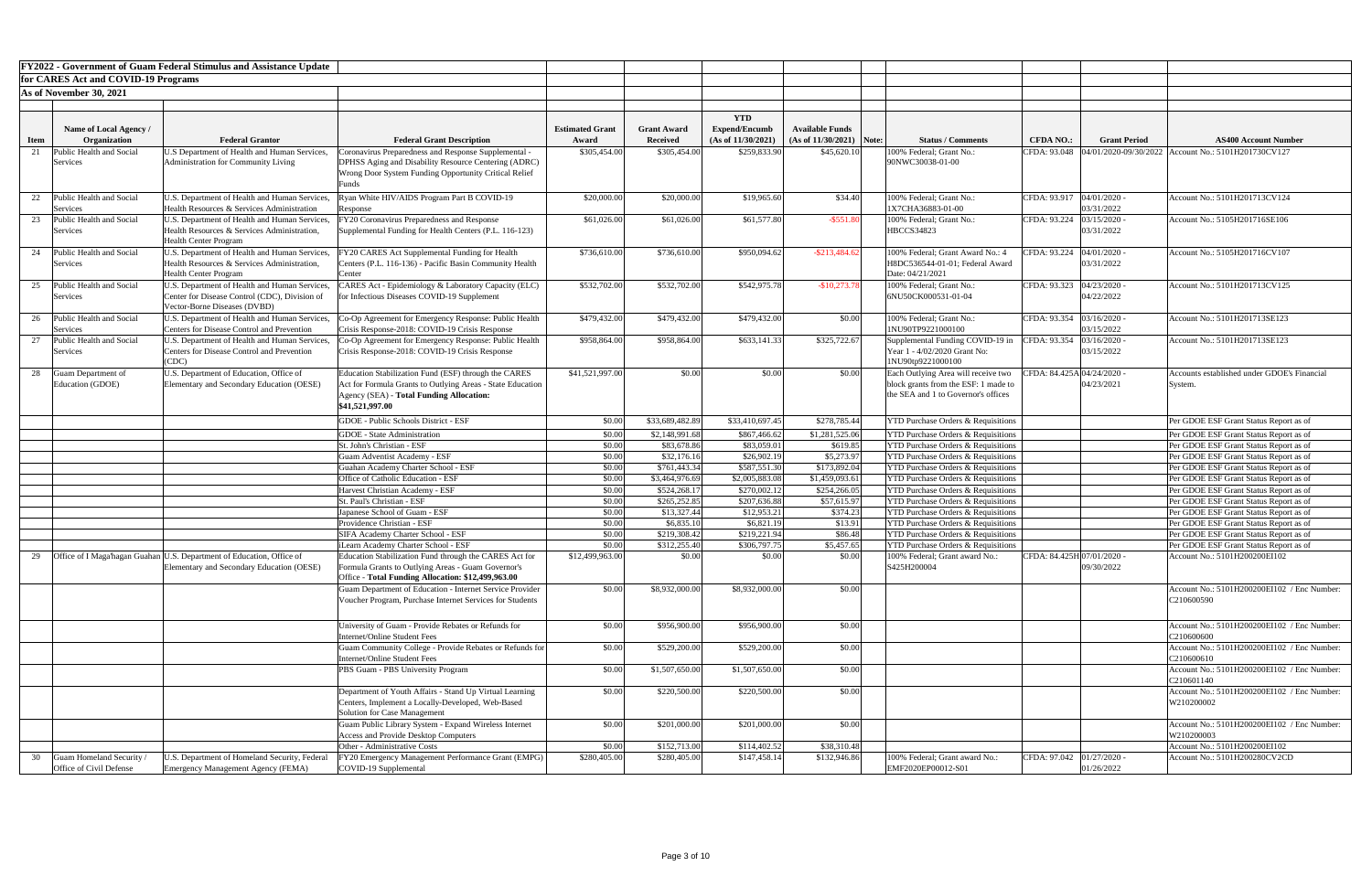|             |                                      | <b>FY2022 - Government of Guam Federal Stimulus and Assistance Update</b>                          |                                                                                                                             |                        |                                |                                |                               |                                                                                                |                             |                     |                                                                                  |
|-------------|--------------------------------------|----------------------------------------------------------------------------------------------------|-----------------------------------------------------------------------------------------------------------------------------|------------------------|--------------------------------|--------------------------------|-------------------------------|------------------------------------------------------------------------------------------------|-----------------------------|---------------------|----------------------------------------------------------------------------------|
|             | for CARES Act and COVID-19 Programs  |                                                                                                    |                                                                                                                             |                        |                                |                                |                               |                                                                                                |                             |                     |                                                                                  |
|             | As of November 30, 2021              |                                                                                                    |                                                                                                                             |                        |                                |                                |                               |                                                                                                |                             |                     |                                                                                  |
|             |                                      |                                                                                                    |                                                                                                                             |                        |                                |                                |                               |                                                                                                |                             |                     |                                                                                  |
|             |                                      |                                                                                                    |                                                                                                                             |                        |                                | <b>YTD</b>                     |                               |                                                                                                |                             |                     |                                                                                  |
|             | Name of Local Agency /               |                                                                                                    |                                                                                                                             | <b>Estimated Grant</b> | <b>Grant Award</b>             | <b>Expend/Encumb</b>           | <b>Available Funds</b>        |                                                                                                |                             |                     |                                                                                  |
| <b>Item</b> | Organization                         | <b>Federal Grantor</b>                                                                             | <b>Federal Grant Description</b>                                                                                            | Award                  | <b>Received</b>                | (As of 11/30/2021)             | $(As of 11/30/2021)$ Note:    | <b>Status / Comments</b>                                                                       | <b>CFDA NO.:</b>            | <b>Grant Period</b> | <b>AS400 Account Number</b>                                                      |
|             | Public Health and Social             | U.S Department of Health and Human Services,                                                       | oronavirus Preparedness and Response Supplemental -                                                                         | \$305,454.00           | \$305,454.00                   | \$259,833.90                   | \$45,620.10                   | 100% Federal; Grant No.:                                                                       |                             |                     | CFDA: 93.048  04/01/2020-09/30/2022   Account No.: 5101H201730CV127              |
|             | Services                             | Administration for Community Living                                                                | DPHSS Aging and Disability Resource Centering (ADRC)                                                                        |                        |                                |                                |                               | 90NWC30038-01-00                                                                               |                             |                     |                                                                                  |
|             |                                      |                                                                                                    | Wrong Door System Funding Opportunity Critical Relief                                                                       |                        |                                |                                |                               |                                                                                                |                             |                     |                                                                                  |
|             |                                      |                                                                                                    |                                                                                                                             |                        |                                |                                |                               |                                                                                                |                             |                     |                                                                                  |
| 22          | Public Health and Social             | U.S. Department of Health and Human Services,<br>Health Resources & Services Administration        | Ryan White HIV/AIDS Program Part B COVID-19                                                                                 | \$20,000.00            | \$20,000.00                    | \$19,965.60                    | \$34.40                       | 100% Federal; Grant No.:<br>1X7CHA36883-01-00                                                  | CFDA: 93.917   04/01/2020 - | 03/31/2022          | Account No.: 5101H201713CV124                                                    |
|             | Services<br>Public Health and Social | U.S. Department of Health and Human Services,                                                      | Response<br>FY20 Coronavirus Preparedness and Response                                                                      | \$61,026.00            | \$61,026.00                    | \$61,577.80                    | $-$ \$551.80                  | 100% Federal; Grant No.:                                                                       | CFDA: 93.224                | 03/15/2020          | Account No.: 5105H201716SE106                                                    |
|             | Services                             | Health Resources & Services Administration,                                                        | Supplemental Funding for Health Centers (P.L. 116-123)                                                                      |                        |                                |                                |                               | <b>HBCCS34823</b>                                                                              |                             | 03/31/2022          |                                                                                  |
|             |                                      | <b>Health Center Program</b>                                                                       |                                                                                                                             |                        |                                |                                |                               |                                                                                                |                             |                     |                                                                                  |
| 24          | Public Health and Social             | U.S. Department of Health and Human Services,                                                      | FY20 CARES Act Supplemental Funding for Health                                                                              | \$736,610.00           | \$736,610.00                   | \$950,094.62                   | $-$ \$213,484.6               | 100% Federal; Grant Award No.: 4                                                               | CFDA: 93.224                | 04/01/2020          | Account No.: 5105H201716CV107                                                    |
|             | Services                             | Health Resources & Services Administration,                                                        | Centers (P.L. 116-136) - Pacific Basin Community Health                                                                     |                        |                                |                                |                               | H8DC536544-01-01; Federal Award                                                                |                             | 03/31/2022          |                                                                                  |
|             |                                      | <b>Health Center Program</b>                                                                       | Center                                                                                                                      |                        |                                |                                |                               | Date: 04/21/2021                                                                               |                             |                     |                                                                                  |
| 25          | Public Health and Social             | U.S. Department of Health and Human Services,                                                      | CARES Act - Epidemiology & Laboratory Capacity (ELC)                                                                        | \$532,702.00           | \$532,702.00                   | \$542,975.78                   | $-$10,273.78$                 | 100% Federal; Grant No.:                                                                       | CFDA: 93.323 04/23/2020 -   |                     | Account No.: 5101H201713CV125                                                    |
|             | Services                             | Center for Disease Control (CDC), Division of                                                      | for Infectious Diseases COVID-19 Supplement                                                                                 |                        |                                |                                |                               | 6NU50CK000531-01-04                                                                            |                             | 04/22/2022          |                                                                                  |
|             |                                      | Vector-Borne Diseases (DVBD)                                                                       |                                                                                                                             |                        |                                |                                |                               |                                                                                                |                             |                     |                                                                                  |
|             | Public Health and Social<br>Services | U.S. Department of Health and Human Services,<br><b>Centers for Disease Control and Prevention</b> | O-Op Agreement for Emergency Response: Public Health<br>Crisis Response-2018: COVID-19 Crisis Response                      | \$479,432.00           | \$479,432.00                   | \$479,432.00                   | \$0.00                        | 100% Federal; Grant No.:<br>1NU90TP9221000100                                                  | CFDA: 93.354 03/16/2020 -   | 03/15/2022          | Account No.: 5101H201713SE123                                                    |
|             | Public Health and Social             | U.S. Department of Health and Human Services,                                                      | Co-Op Agreement for Emergency Response: Public Health                                                                       | \$958,864.00           | \$958,864.00                   | \$633,141.33                   | \$325,722.67                  | Supplemental Funding COVID-19 in                                                               | CFDA: 93.354  03/16/2020 -  |                     | Account No.: 5101H201713SE123                                                    |
|             | Services                             | <b>Centers for Disease Control and Prevention</b>                                                  | Crisis Response-2018: COVID-19 Crisis Response                                                                              |                        |                                |                                |                               | Year 1 - 4/02/2020 Grant No:                                                                   |                             | 03/15/2022          |                                                                                  |
|             |                                      | CDC                                                                                                |                                                                                                                             |                        |                                |                                |                               | 1NU90tp9221000100                                                                              |                             |                     |                                                                                  |
| 28          | <b>Guam Department of</b>            | U.S. Department of Education, Office of                                                            | Education Stabilization Fund (ESF) through the CARES                                                                        | \$41,521,997.00        | \$0.00                         | \$0.00                         | \$0.00                        | Each Outlying Area will receive two   CFDA: 84.425A 04/24/2020 -                               |                             |                     | <b>Accounts established under GDOE's Financial</b>                               |
|             | Education (GDOE)                     | Elementary and Secondary Education (OESE)                                                          | Act for Formula Grants to Outlying Areas - State Education                                                                  |                        |                                |                                |                               | block grants from the ESF: 1 made to                                                           |                             | 04/23/2021          | System.                                                                          |
|             |                                      |                                                                                                    | Agency (SEA) - Total Funding Allocation:                                                                                    |                        |                                |                                |                               | the SEA and 1 to Governor's offices                                                            |                             |                     |                                                                                  |
|             |                                      |                                                                                                    | \$41,521,997.00                                                                                                             |                        |                                |                                |                               |                                                                                                |                             |                     |                                                                                  |
|             |                                      |                                                                                                    | <b>GDOE</b> - Public Schools District - ESF                                                                                 | \$0.00                 | \$33,689,482.89                | \$33,410,697.45                | \$278,785.44                  | <b>YTD Purchase Orders &amp; Requisitions</b>                                                  |                             |                     | Per GDOE ESF Grant Status Report as of                                           |
|             |                                      |                                                                                                    | <b>GDOE</b> - State Administration                                                                                          | \$0.00                 | \$2,148,991.68                 | \$867,466.62                   | \$1,281,525.06                | <b>YTD Purchase Orders &amp; Requisitions</b>                                                  |                             |                     | Per GDOE ESF Grant Status Report as of                                           |
|             |                                      |                                                                                                    | St. John's Christian - ESF                                                                                                  | \$0.00                 | \$83,678.86                    | \$83,059.01                    | \$619.85                      | <b>YTD Purchase Orders &amp; Requisitions</b>                                                  |                             |                     | Per GDOE ESF Grant Status Report as of                                           |
|             |                                      |                                                                                                    | <b>Guam Adventist Academy - ESF</b>                                                                                         | \$0.00                 | \$32,176.16                    | \$26,902.19                    | \$5,273.97                    | <b>YTD Purchase Orders &amp; Requisitions</b>                                                  |                             |                     | Per GDOE ESF Grant Status Report as of                                           |
|             |                                      |                                                                                                    | Guahan Academy Charter School - ESF                                                                                         | \$0.00                 | \$761,443.34                   | \$587,551.30                   | \$173,892.04                  | <b>YTD Purchase Orders &amp; Requisitions</b>                                                  |                             |                     | Per GDOE ESF Grant Status Report as of                                           |
|             |                                      |                                                                                                    | <b>Office of Catholic Education - ESF</b><br>Harvest Christian Academy - ESF                                                | \$0.00<br>\$0.00       | \$3,464,976.69<br>\$524,268.1' | \$2,005,883.08<br>\$270,002.12 | \$1,459,093.6<br>\$254,266.05 | <b>YTD Purchase Orders &amp; Requisitions</b><br><b>YTD Purchase Orders &amp; Requisitions</b> |                             |                     | Per GDOE ESF Grant Status Report as of<br>Per GDOE ESF Grant Status Report as of |
|             |                                      |                                                                                                    | St. Paul's Christian - ESF                                                                                                  | \$0.00                 | \$265,252.85                   | \$207,636.88                   | \$57,615.97                   | <b>YTD Purchase Orders &amp; Requisitions</b>                                                  |                             |                     | Per GDOE ESF Grant Status Report as of                                           |
|             |                                      |                                                                                                    | Japanese School of Guam - ESF                                                                                               | \$0.00                 | \$13,327.44                    | \$12,953.21                    | \$374.23                      | <b>YTD Purchase Orders &amp; Requisitions</b>                                                  |                             |                     | Per GDOE ESF Grant Status Report as of                                           |
|             |                                      |                                                                                                    | Providence Christian - ESF                                                                                                  | \$0.00                 | \$6,835.1                      | \$6,821.19                     | \$13.91                       | <b>YTD Purchase Orders &amp; Requisitions</b>                                                  |                             |                     | Per GDOE ESF Grant Status Report as of                                           |
|             |                                      |                                                                                                    | <b>SIFA Academy Charter School - ESF</b>                                                                                    | \$0.00                 | \$219,308.42                   | \$219,221.94                   | \$86.48                       | <b>YTD Purchase Orders &amp; Requisitions</b>                                                  |                             |                     | Per GDOE ESF Grant Status Report as of                                           |
|             |                                      |                                                                                                    | Learn Academy Charter School - ESF                                                                                          | \$0.00                 | \$312,255.40                   | \$306,797.75                   | \$5,457.65                    | <b>YTD Purchase Orders &amp; Requisitions</b>                                                  |                             |                     | Per GDOE ESF Grant Status Report as of                                           |
|             |                                      | Office of I Maga'hagan Guahan U.S. Department of Education, Office of                              | Education Stabilization Fund through the CARES Act for                                                                      | \$12,499,963.00        | \$0.00                         | \$0.00                         | \$0.00                        | 100% Federal; Grant award No.:                                                                 | CFDA: 84.425H 07/01/2020 -  |                     | Account No.: 5101H200200EI102                                                    |
|             |                                      | Elementary and Secondary Education (OESE)                                                          | Formula Grants to Outlying Areas - Guam Governor's                                                                          |                        |                                |                                |                               | S425H200004                                                                                    |                             | 09/30/2022          |                                                                                  |
|             |                                      |                                                                                                    | Office - Total Funding Allocation: \$12,499,963.00                                                                          | \$0.00                 |                                |                                |                               |                                                                                                |                             |                     |                                                                                  |
|             |                                      |                                                                                                    | <b>Guam Department of Education - Internet Service Provider</b><br>Voucher Program, Purchase Internet Services for Students |                        | \$8,932,000.00                 | \$8,932,000.00                 | \$0.00                        |                                                                                                |                             |                     | Account No.: 5101H200200EI102 / Enc Number:<br>C210600590                        |
|             |                                      |                                                                                                    |                                                                                                                             |                        |                                |                                |                               |                                                                                                |                             |                     |                                                                                  |
|             |                                      |                                                                                                    | University of Guam - Provide Rebates or Refunds for                                                                         | \$0.00                 | \$956,900.00                   | \$956,900.00                   | \$0.00                        |                                                                                                |                             |                     | Account No.: 5101H200200EI102 / Enc Number:                                      |
|             |                                      |                                                                                                    | <b>Internet/Online Student Fees</b>                                                                                         |                        |                                |                                |                               |                                                                                                |                             |                     | C210600600                                                                       |
|             |                                      |                                                                                                    | Guam Community College - Provide Rebates or Refunds for                                                                     | \$0.00                 | \$529,200.00                   | \$529,200.00                   | \$0.00                        |                                                                                                |                             |                     | Account No.: 5101H200200EI102 / Enc Number:                                      |
|             |                                      |                                                                                                    | Internet/Online Student Fees                                                                                                |                        |                                |                                |                               |                                                                                                |                             |                     | C210600610                                                                       |
|             |                                      |                                                                                                    | PBS Guam - PBS University Program                                                                                           | \$0.00                 | \$1,507,650.00                 | \$1,507,650.00                 | \$0.00                        |                                                                                                |                             |                     | Account No.: 5101H200200EI102 / Enc Number:                                      |
|             |                                      |                                                                                                    |                                                                                                                             |                        |                                |                                |                               |                                                                                                |                             |                     | C210601140                                                                       |
|             |                                      |                                                                                                    | Department of Youth Affairs - Stand Up Virtual Learning                                                                     | \$0.00                 | \$220,500.00                   | \$220,500.00                   | \$0.00                        |                                                                                                |                             |                     | Account No.: 5101H200200EI102 / Enc Number:                                      |
|             |                                      |                                                                                                    | Centers, Implement a Locally-Developed, Web-Based<br><b>Solution for Case Management</b>                                    |                        |                                |                                |                               |                                                                                                |                             |                     | W210200002                                                                       |
|             |                                      |                                                                                                    | Guam Public Library System - Expand Wireless Internet                                                                       | \$0.00                 | \$201,000.00                   | \$201,000.00                   | \$0.00                        |                                                                                                |                             |                     | Account No.: 5101H200200EI102 / Enc Number:                                      |
|             |                                      |                                                                                                    | <b>Access and Provide Desktop Computers</b>                                                                                 |                        |                                |                                |                               |                                                                                                |                             |                     | W210200003                                                                       |
|             |                                      |                                                                                                    | Other - Administrative Costs                                                                                                | \$0.00                 | \$152,713.00                   | \$114,402.52                   | \$38,310.48                   |                                                                                                |                             |                     | Account No.: 5101H200200EI102                                                    |
|             | Guam Homeland Security /             | U.S. Department of Homeland Security, Federal                                                      | FY20 Emergency Management Performance Grant (EMPG)                                                                          | \$280,405.00           | \$280,405.00                   | \$147,458.14                   | \$132,946.86                  | 100% Federal; Grant award No.:                                                                 | CFDA: 97.042 01/27/2020 -   |                     | Account No.: 5101H200280CV2CD                                                    |
|             | Office of Civil Defense              | <b>Emergency Management Agency (FEMA)</b>                                                          | COVID-19 Supplemental                                                                                                       |                        |                                |                                |                               | EMF2020EP00012-S01                                                                             |                             | 01/26/2022          |                                                                                  |
|             |                                      |                                                                                                    |                                                                                                                             |                        |                                |                                |                               |                                                                                                |                             |                     |                                                                                  |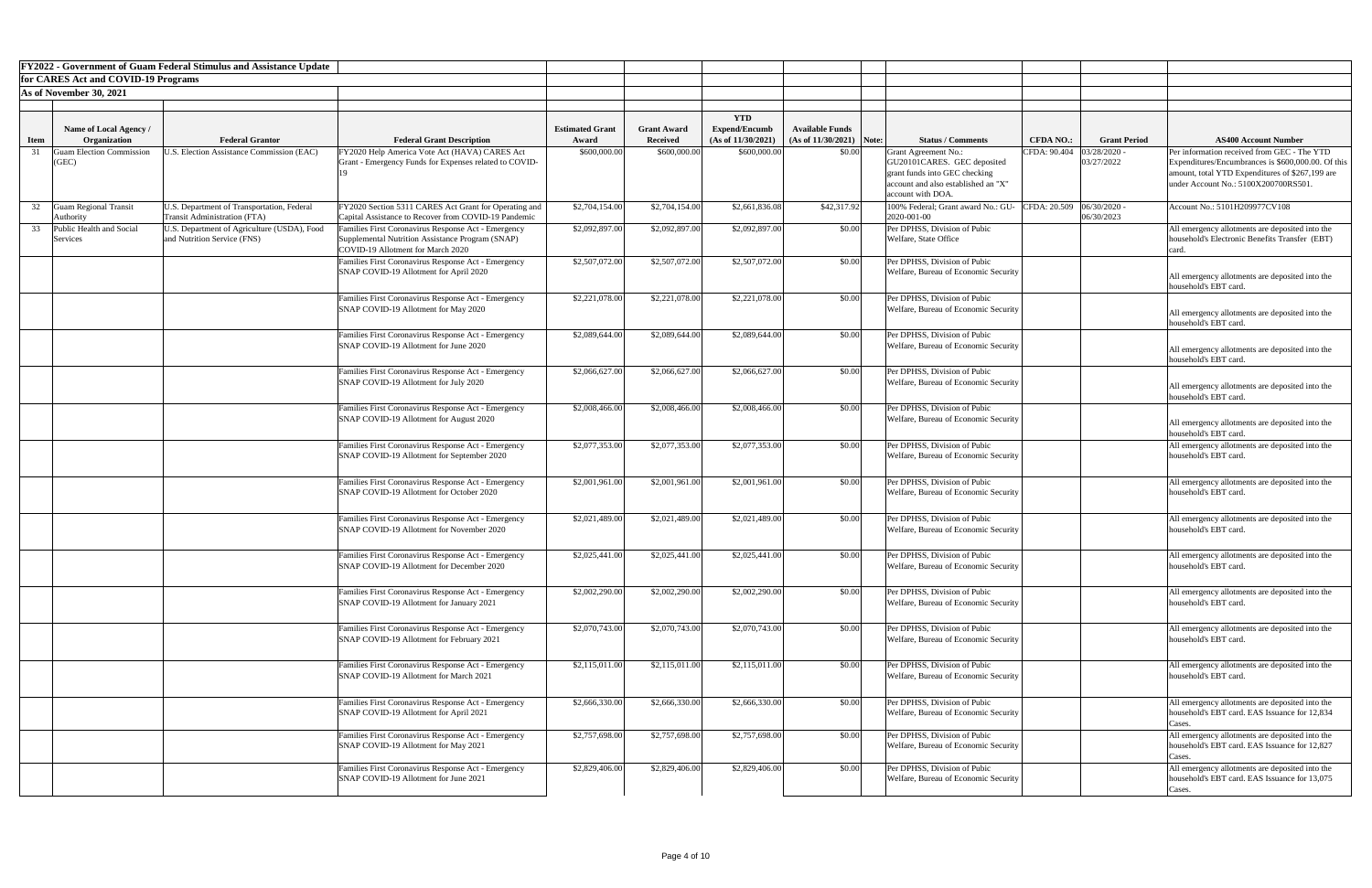|             |                                               | <b>FY2022 - Government of Guam Federal Stimulus and Assistance Update</b>  |                                                                                                               |                                 |                                       |                                            |                                                      |                                                                      |                           |                     |                                                                                                  |
|-------------|-----------------------------------------------|----------------------------------------------------------------------------|---------------------------------------------------------------------------------------------------------------|---------------------------------|---------------------------------------|--------------------------------------------|------------------------------------------------------|----------------------------------------------------------------------|---------------------------|---------------------|--------------------------------------------------------------------------------------------------|
|             | for CARES Act and COVID-19 Programs           |                                                                            |                                                                                                               |                                 |                                       |                                            |                                                      |                                                                      |                           |                     |                                                                                                  |
|             | As of November 30, 2021                       |                                                                            |                                                                                                               |                                 |                                       |                                            |                                                      |                                                                      |                           |                     |                                                                                                  |
|             |                                               |                                                                            |                                                                                                               |                                 |                                       |                                            |                                                      |                                                                      |                           |                     |                                                                                                  |
|             |                                               |                                                                            |                                                                                                               |                                 |                                       | <b>YTD</b>                                 |                                                      |                                                                      |                           |                     |                                                                                                  |
| <b>Item</b> | Name of Local Agency /<br><b>Organization</b> | <b>Federal Grantor</b>                                                     | <b>Federal Grant Description</b>                                                                              | <b>Estimated Grant</b><br>Award | <b>Grant Award</b><br><b>Received</b> | <b>Expend/Encumb</b><br>(As of 11/30/2021) | <b>Available Funds</b><br>$(As of 11/30/2021)$ Note: | <b>Status / Comments</b>                                             | <b>CFDA NO.:</b>          | <b>Grant Period</b> | <b>AS400 Account Number</b>                                                                      |
|             | <b>Guam Election Commission</b>               | <b>J.S. Election Assistance Commission (EAC)</b>                           | FY2020 Help America Vote Act (HAVA) CARES Act                                                                 | \$600,000.00                    | \$600,000.00                          | \$600,000.00                               | \$0.00                                               | <b>Grant Agreement No.:</b>                                          | CFDA: 90.404              | 03/28/2020          | Per information received from GEC - The YTD                                                      |
|             | (GEC)                                         |                                                                            | Grant - Emergency Funds for Expenses related to COVID-                                                        |                                 |                                       |                                            |                                                      | GU20101CARES. GEC deposited                                          |                           | 03/27/2022          | Expenditures/Encumbrances is \$600,000.00. Of this                                               |
|             |                                               |                                                                            |                                                                                                               |                                 |                                       |                                            |                                                      | grant funds into GEC checking                                        |                           |                     | amount, total YTD Expenditures of \$267,199 are                                                  |
|             |                                               |                                                                            |                                                                                                               |                                 |                                       |                                            |                                                      | account and also established an "X"                                  |                           |                     | under Account No.: 5100X200700RS501.                                                             |
|             |                                               |                                                                            |                                                                                                               |                                 |                                       |                                            |                                                      | account with DOA.                                                    |                           |                     |                                                                                                  |
|             | <b>Guam Regional Transit</b>                  | U.S. Department of Transportation, Federal<br>Transit Administration (FTA) | FY2020 Section 5311 CARES Act Grant for Operating and<br>Capital Assistance to Recover from COVID-19 Pandemic | \$2,704,154.00                  | \$2,704,154.00                        | \$2,661,836.08                             | \$42,317.92                                          | 100% Federal; Grant award No.: GU-<br>2020-001-00                    | CFDA: 20.509 06/30/2020 - | 06/30/2023          | Account No.: 5101H209977CV108                                                                    |
|             | Authority<br>Public Health and Social         | U.S. Department of Agriculture (USDA), Food                                | Families First Coronavirus Response Act - Emergency                                                           | \$2,092,897.00                  | \$2,092,897.00                        | \$2,092,897.00                             | \$0.00                                               | Per DPHSS, Division of Pubic                                         |                           |                     | All emergency allotments are deposited into the                                                  |
|             | Services                                      | and Nutrition Service (FNS)                                                | Supplemental Nutrition Assistance Program (SNAP)                                                              |                                 |                                       |                                            |                                                      | Welfare, State Office                                                |                           |                     | household's Electronic Benefits Transfer (EBT)                                                   |
|             |                                               |                                                                            | COVID-19 Allotment for March 2020                                                                             |                                 |                                       |                                            |                                                      |                                                                      |                           |                     |                                                                                                  |
|             |                                               |                                                                            | Families First Coronavirus Response Act - Emergency                                                           | \$2,507,072.00                  | \$2,507,072.00                        | \$2,507,072.00                             | \$0.00                                               | Per DPHSS, Division of Pubic                                         |                           |                     |                                                                                                  |
|             |                                               |                                                                            | SNAP COVID-19 Allotment for April 2020                                                                        |                                 |                                       |                                            |                                                      | Welfare, Bureau of Economic Security                                 |                           |                     | All emergency allotments are deposited into the                                                  |
|             |                                               |                                                                            |                                                                                                               |                                 |                                       |                                            |                                                      |                                                                      |                           |                     | household's EBT card.                                                                            |
|             |                                               |                                                                            | Families First Coronavirus Response Act - Emergency                                                           | \$2,221,078.00                  | \$2,221,078.00                        | \$2,221,078.00                             | \$0.00                                               | Per DPHSS, Division of Pubic                                         |                           |                     |                                                                                                  |
|             |                                               |                                                                            | SNAP COVID-19 Allotment for May 2020                                                                          |                                 |                                       |                                            |                                                      | Welfare, Bureau of Economic Security                                 |                           |                     | All emergency allotments are deposited into the                                                  |
|             |                                               |                                                                            |                                                                                                               |                                 |                                       |                                            |                                                      |                                                                      |                           |                     | household's EBT card.                                                                            |
|             |                                               |                                                                            | Families First Coronavirus Response Act - Emergency<br>SNAP COVID-19 Allotment for June 2020                  | \$2,089,644.00                  | \$2,089,644.00                        | \$2,089,644.00                             | \$0.00                                               | Per DPHSS, Division of Pubic<br>Welfare, Bureau of Economic Security |                           |                     |                                                                                                  |
|             |                                               |                                                                            |                                                                                                               |                                 |                                       |                                            |                                                      |                                                                      |                           |                     | All emergency allotments are deposited into the                                                  |
|             |                                               |                                                                            |                                                                                                               | \$2,066,627.00                  | \$2,066,627.00                        |                                            |                                                      |                                                                      |                           |                     | household's EBT card.                                                                            |
|             |                                               |                                                                            | Families First Coronavirus Response Act - Emergency<br>SNAP COVID-19 Allotment for July 2020                  |                                 |                                       | \$2,066,627.00                             | \$0.00                                               | Per DPHSS, Division of Pubic<br>Welfare, Bureau of Economic Security |                           |                     |                                                                                                  |
|             |                                               |                                                                            |                                                                                                               |                                 |                                       |                                            |                                                      |                                                                      |                           |                     | All emergency allotments are deposited into the<br>household's EBT card.                         |
|             |                                               |                                                                            | Families First Coronavirus Response Act - Emergency                                                           | \$2,008,466.00                  | \$2,008,466.00                        | \$2,008,466.00                             | \$0.00                                               | Per DPHSS, Division of Pubic                                         |                           |                     |                                                                                                  |
|             |                                               |                                                                            | SNAP COVID-19 Allotment for August 2020                                                                       |                                 |                                       |                                            |                                                      | Welfare, Bureau of Economic Security                                 |                           |                     | All emergency allotments are deposited into the                                                  |
|             |                                               |                                                                            |                                                                                                               |                                 |                                       |                                            |                                                      |                                                                      |                           |                     | household's EBT card.                                                                            |
|             |                                               |                                                                            | Families First Coronavirus Response Act - Emergency                                                           | \$2,077,353.00                  | \$2,077,353.00                        | \$2,077,353.00                             | \$0.00                                               | Per DPHSS, Division of Pubic                                         |                           |                     | All emergency allotments are deposited into the                                                  |
|             |                                               |                                                                            | SNAP COVID-19 Allotment for September 2020                                                                    |                                 |                                       |                                            |                                                      | Welfare, Bureau of Economic Security                                 |                           |                     | household's EBT card.                                                                            |
|             |                                               |                                                                            |                                                                                                               |                                 |                                       |                                            |                                                      |                                                                      |                           |                     |                                                                                                  |
|             |                                               |                                                                            | Families First Coronavirus Response Act - Emergency                                                           | \$2,001,961.00                  | \$2,001,961.00                        | \$2,001,961.00                             | \$0.00                                               | Per DPHSS, Division of Pubic                                         |                           |                     | All emergency allotments are deposited into the                                                  |
|             |                                               |                                                                            | SNAP COVID-19 Allotment for October 2020                                                                      |                                 |                                       |                                            |                                                      | Welfare, Bureau of Economic Security                                 |                           |                     | household's EBT card.                                                                            |
|             |                                               |                                                                            |                                                                                                               |                                 |                                       |                                            |                                                      |                                                                      |                           |                     |                                                                                                  |
|             |                                               |                                                                            | Families First Coronavirus Response Act - Emergency                                                           | \$2,021,489.00                  | \$2,021,489.00                        | \$2,021,489.00                             | \$0.00                                               | Per DPHSS, Division of Pubic                                         |                           |                     | All emergency allotments are deposited into the                                                  |
|             |                                               |                                                                            | SNAP COVID-19 Allotment for November 2020                                                                     |                                 |                                       |                                            |                                                      | Welfare, Bureau of Economic Security                                 |                           |                     | household's EBT card.                                                                            |
|             |                                               |                                                                            |                                                                                                               |                                 |                                       |                                            |                                                      |                                                                      |                           |                     |                                                                                                  |
|             |                                               |                                                                            | Families First Coronavirus Response Act - Emergency<br>SNAP COVID-19 Allotment for December 2020              | \$2,025,441.00                  | \$2,025,441.00                        | \$2,025,441.00                             | \$0.00                                               | Per DPHSS, Division of Pubic<br>Welfare, Bureau of Economic Security |                           |                     | All emergency allotments are deposited into the<br>household's EBT card.                         |
|             |                                               |                                                                            |                                                                                                               |                                 |                                       |                                            |                                                      |                                                                      |                           |                     |                                                                                                  |
|             |                                               |                                                                            |                                                                                                               |                                 |                                       |                                            |                                                      | Per DPHSS, Division of Pubic                                         |                           |                     |                                                                                                  |
|             |                                               |                                                                            | Families First Coronavirus Response Act - Emergency<br>SNAP COVID-19 Allotment for January 2021               | \$2,002,290.00                  | \$2,002,290.00                        | \$2,002,290.00                             | \$0.00                                               | Welfare, Bureau of Economic Security                                 |                           |                     | All emergency allotments are deposited into the<br>household's EBT card.                         |
|             |                                               |                                                                            |                                                                                                               |                                 |                                       |                                            |                                                      |                                                                      |                           |                     |                                                                                                  |
|             |                                               |                                                                            | Families First Coronavirus Response Act - Emergency                                                           | \$2,070,743.00                  | \$2,070,743.00                        | \$2,070,743.00                             | \$0.00                                               | Per DPHSS, Division of Pubic                                         |                           |                     | All emergency allotments are deposited into the                                                  |
|             |                                               |                                                                            | SNAP COVID-19 Allotment for February 2021                                                                     |                                 |                                       |                                            |                                                      | Welfare, Bureau of Economic Security                                 |                           |                     | household's EBT card.                                                                            |
|             |                                               |                                                                            |                                                                                                               |                                 |                                       |                                            |                                                      |                                                                      |                           |                     |                                                                                                  |
|             |                                               |                                                                            | Families First Coronavirus Response Act - Emergency                                                           | \$2,115,011.00                  | \$2,115,011.00                        | \$2,115,011.00                             | \$0.00                                               | Per DPHSS, Division of Pubic                                         |                           |                     | All emergency allotments are deposited into the                                                  |
|             |                                               |                                                                            | SNAP COVID-19 Allotment for March 2021                                                                        |                                 |                                       |                                            |                                                      | Welfare, Bureau of Economic Security                                 |                           |                     | household's EBT card.                                                                            |
|             |                                               |                                                                            |                                                                                                               |                                 |                                       |                                            |                                                      |                                                                      |                           |                     |                                                                                                  |
|             |                                               |                                                                            | Families First Coronavirus Response Act - Emergency                                                           | \$2,666,330.00                  | \$2,666,330.00                        | \$2,666,330.00                             | \$0.00                                               | Per DPHSS, Division of Pubic                                         |                           |                     | All emergency allotments are deposited into the                                                  |
|             |                                               |                                                                            | SNAP COVID-19 Allotment for April 2021                                                                        |                                 |                                       |                                            |                                                      | Welfare, Bureau of Economic Security                                 |                           |                     | household's EBT card. EAS Issuance for 12,834                                                    |
|             |                                               |                                                                            |                                                                                                               | \$2,757,698.00                  |                                       | \$2,757,698.00                             | \$0.00                                               | Per DPHSS, Division of Pubic                                         |                           |                     | Cases.                                                                                           |
|             |                                               |                                                                            | Families First Coronavirus Response Act - Emergency<br>SNAP COVID-19 Allotment for May 2021                   |                                 | \$2,757,698.00                        |                                            |                                                      | Welfare, Bureau of Economic Security                                 |                           |                     | All emergency allotments are deposited into the<br>household's EBT card. EAS Issuance for 12,827 |
|             |                                               |                                                                            |                                                                                                               |                                 |                                       |                                            |                                                      |                                                                      |                           |                     | Cases.                                                                                           |
|             |                                               |                                                                            | Families First Coronavirus Response Act - Emergency                                                           | \$2,829,406.00                  | \$2,829,406.00                        | \$2,829,406.00                             | \$0.00                                               | Per DPHSS, Division of Pubic                                         |                           |                     | All emergency allotments are deposited into the                                                  |
|             |                                               |                                                                            | SNAP COVID-19 Allotment for June 2021                                                                         |                                 |                                       |                                            |                                                      | Welfare, Bureau of Economic Security                                 |                           |                     | household's EBT card. EAS Issuance for 13,075                                                    |
|             |                                               |                                                                            |                                                                                                               |                                 |                                       |                                            |                                                      |                                                                      |                           |                     | Cases.                                                                                           |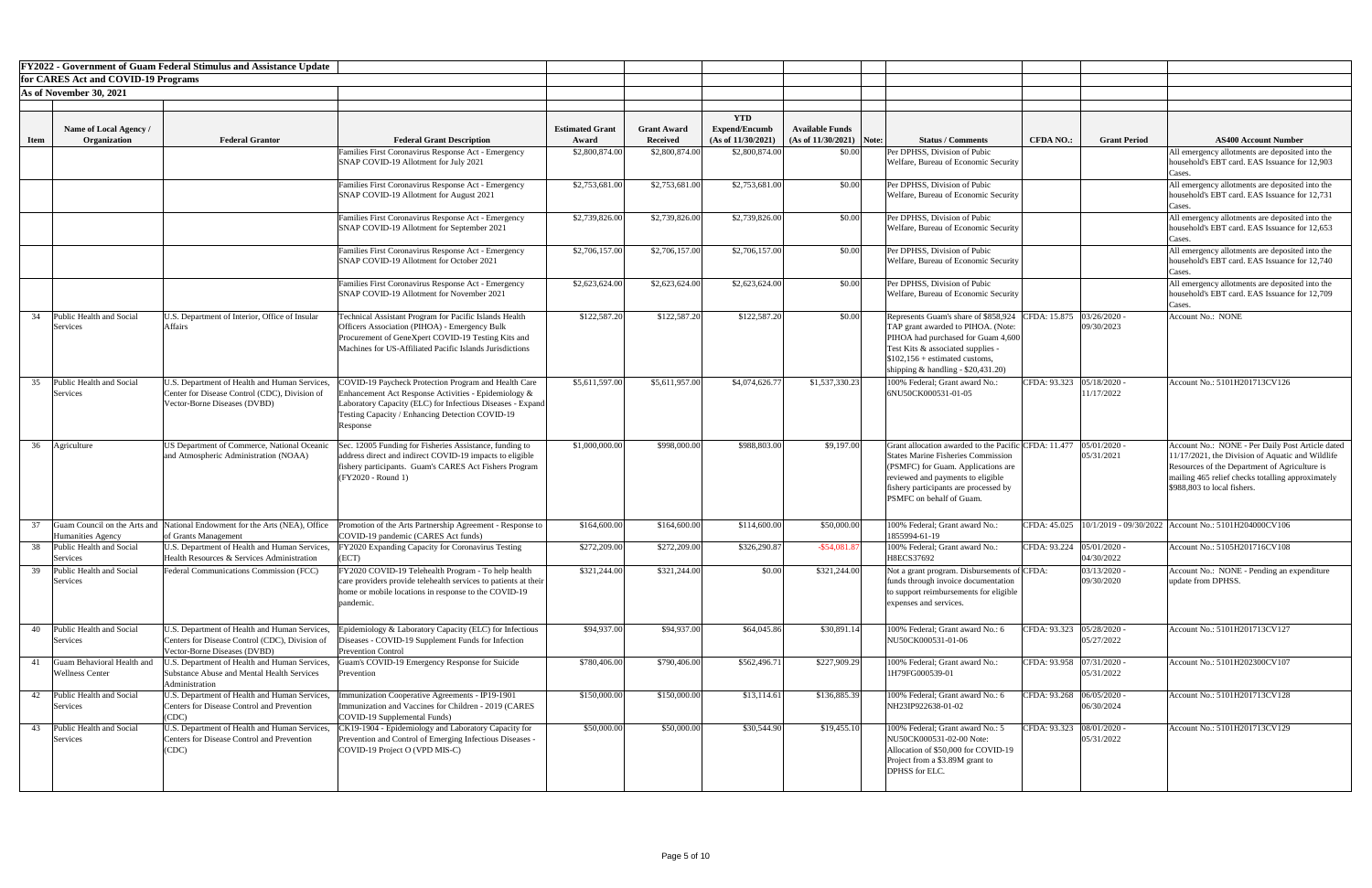|             |                                                      | <b>FY2022 - Government of Guam Federal Stimulus and Assistance Update</b>                                                       |                                                                                                                                                                                                                                                     |                        |                    |                      |                            |                                                                                                                                                                                                                                                   |                             |                              |                                                                                                                                                                                                                                           |
|-------------|------------------------------------------------------|---------------------------------------------------------------------------------------------------------------------------------|-----------------------------------------------------------------------------------------------------------------------------------------------------------------------------------------------------------------------------------------------------|------------------------|--------------------|----------------------|----------------------------|---------------------------------------------------------------------------------------------------------------------------------------------------------------------------------------------------------------------------------------------------|-----------------------------|------------------------------|-------------------------------------------------------------------------------------------------------------------------------------------------------------------------------------------------------------------------------------------|
|             | for CARES Act and COVID-19 Programs                  |                                                                                                                                 |                                                                                                                                                                                                                                                     |                        |                    |                      |                            |                                                                                                                                                                                                                                                   |                             |                              |                                                                                                                                                                                                                                           |
|             | As of November 30, 2021                              |                                                                                                                                 |                                                                                                                                                                                                                                                     |                        |                    |                      |                            |                                                                                                                                                                                                                                                   |                             |                              |                                                                                                                                                                                                                                           |
|             |                                                      |                                                                                                                                 |                                                                                                                                                                                                                                                     |                        |                    |                      |                            |                                                                                                                                                                                                                                                   |                             |                              |                                                                                                                                                                                                                                           |
|             |                                                      |                                                                                                                                 |                                                                                                                                                                                                                                                     |                        |                    | <b>YTD</b>           |                            |                                                                                                                                                                                                                                                   |                             |                              |                                                                                                                                                                                                                                           |
|             | <b>Name of Local Agency /</b>                        |                                                                                                                                 |                                                                                                                                                                                                                                                     | <b>Estimated Grant</b> | <b>Grant Award</b> | <b>Expend/Encumb</b> | <b>Available Funds</b>     |                                                                                                                                                                                                                                                   |                             |                              | <b>AS400 Account Number</b>                                                                                                                                                                                                               |
| <b>Item</b> | Organization                                         | <b>Federal Grantor</b>                                                                                                          | <b>Federal Grant Description</b>                                                                                                                                                                                                                    | Award                  | <b>Received</b>    | (As of 11/30/2021)   | $(As of 11/30/2021)$ Note: | <b>Status / Comments</b>                                                                                                                                                                                                                          | <b>CFDA NO.:</b>            | <b>Grant Period</b>          |                                                                                                                                                                                                                                           |
|             |                                                      |                                                                                                                                 | Families First Coronavirus Response Act - Emergency<br>SNAP COVID-19 Allotment for July 2021                                                                                                                                                        | \$2,800,874.00         | \$2,800,874.00     | \$2,800,874.00       | \$0.00                     | Per DPHSS, Division of Pubic<br>Welfare, Bureau of Economic Security                                                                                                                                                                              |                             |                              | All emergency allotments are deposited into the<br>household's EBT card. EAS Issuance for 12,903                                                                                                                                          |
|             |                                                      |                                                                                                                                 | Families First Coronavirus Response Act - Emergency<br>SNAP COVID-19 Allotment for August 2021                                                                                                                                                      | \$2,753,681.00         | \$2,753,681.00     | \$2,753,681.00       | \$0.00                     | Per DPHSS, Division of Pubic<br>Welfare, Bureau of Economic Security                                                                                                                                                                              |                             |                              | Cases.<br>All emergency allotments are deposited into the<br>household's EBT card. EAS Issuance for 12,731                                                                                                                                |
|             |                                                      |                                                                                                                                 |                                                                                                                                                                                                                                                     |                        |                    |                      |                            |                                                                                                                                                                                                                                                   |                             |                              | Cases                                                                                                                                                                                                                                     |
|             |                                                      |                                                                                                                                 | amilies First Coronavirus Response Act - Emergency<br>SNAP COVID-19 Allotment for September 2021                                                                                                                                                    | \$2,739,826.00         | \$2,739,826.00     | \$2,739,826.00       | \$0.00                     | Per DPHSS, Division of Pubic<br>Welfare, Bureau of Economic Security                                                                                                                                                                              |                             |                              | All emergency allotments are deposited into the<br>household's EBT card. EAS Issuance for 12,653<br>Cases                                                                                                                                 |
|             |                                                      |                                                                                                                                 | Families First Coronavirus Response Act - Emergency<br><b>SNAP COVID-19 Allotment for October 2021</b>                                                                                                                                              | \$2,706,157.00         | \$2,706,157.00     | \$2,706,157.00       | \$0.00                     | Per DPHSS, Division of Pubic<br>Welfare, Bureau of Economic Security                                                                                                                                                                              |                             |                              | All emergency allotments are deposited into the<br>household's EBT card. EAS Issuance for 12,740<br>Cases.                                                                                                                                |
|             |                                                      |                                                                                                                                 | Families First Coronavirus Response Act - Emergency<br>SNAP COVID-19 Allotment for November 2021                                                                                                                                                    | \$2,623,624.00         | \$2,623,624.00     | \$2,623,624.00       | \$0.00                     | Per DPHSS, Division of Pubic<br>Welfare, Bureau of Economic Security                                                                                                                                                                              |                             |                              | All emergency allotments are deposited into the<br>household's EBT card. EAS Issuance for 12,709                                                                                                                                          |
| 34          | Public Health and Social<br>Services                 | U.S. Department of Interior, Office of Insular<br><b>Affairs</b>                                                                | Technical Assistant Program for Pacific Islands Health<br>Officers Association (PIHOA) - Emergency Bulk<br>Procurement of GeneXpert COVID-19 Testing Kits and<br>Machines for US-Affiliated Pacific Islands Jurisdictions                           | \$122,587.20           | \$122,587.20       | \$122,587.20         | \$0.00                     | Represents Guam's share of \$858,924 CFDA: 15.875<br>TAP grant awarded to PIHOA. (Note:<br>PIHOA had purchased for Guam 4,600<br>Test Kits & associated supplies -<br>$$102,156 + estimated customs.$<br>shipping $\&$ handling - \$20,431.20)    |                             | 03/26/2020<br>09/30/2023     | Cases.<br><b>Account No.: NONE</b>                                                                                                                                                                                                        |
| 35          | Public Health and Social<br>Services                 | U.S. Department of Health and Human Services,<br>Center for Disease Control (CDC), Division of<br>Vector-Borne Diseases (DVBD)  | <b>COVID-19 Paycheck Protection Program and Health Care</b><br>Enhancement Act Response Activities - Epidemiology $\&$<br>Laboratory Capacity (ELC) for Infectious Diseases - Expand<br>Testing Capacity / Enhancing Detection COVID-19<br>Response | \$5,611,597.00         | \$5,611,957.00     | \$4,074,626.77       | \$1,537,330.23             | 100% Federal; Grant award No.:<br>6NU50CK000531-01-05                                                                                                                                                                                             | CFDA: 93.323                | 05/18/2020<br>11/17/2022     | Account No.: 5101H201713CV126                                                                                                                                                                                                             |
| 36          | Agriculture                                          | US Department of Commerce, National Oceanic<br>and Atmospheric Administration (NOAA)                                            | Sec. 12005 Funding for Fisheries Assistance, funding to<br>address direct and indirect COVID-19 impacts to eligible<br>fishery participants. Guam's CARES Act Fishers Program<br>(FY2020 - Round 1)                                                 | \$1,000,000.00         | \$998,000.00       | \$988,803.00         | \$9,197.00                 | Grant allocation awarded to the Pacific CFDA: 11.477<br><b>States Marine Fisheries Commission</b><br>(PSMFC) for Guam. Applications are<br>reviewed and payments to eligible<br>fishery participants are processed by<br>PSMFC on behalf of Guam. |                             | $05/01/2020$ -<br>05/31/2021 | Account No.: NONE - Per Daily Post Article dated<br>11/17/2021, the Division of Aquatic and Wildlife<br>Resources of the Department of Agriculture is<br>mailing 465 relief checks totalling approximately<br>\$988,803 to local fishers. |
|             | Humanities Agency                                    | Guam Council on the Arts and National Endowment for the Arts (NEA), Office<br>of Grants Management                              | romotion of the Arts Partnership Agreement - Response to<br>COVID-19 pandemic (CARES Act funds)                                                                                                                                                     | \$164,600.00           | \$164,600.00       | \$114,600.00         | \$50,000.00                | 100% Federal; Grant award No.:<br>1855994-61-19                                                                                                                                                                                                   |                             |                              | CFDA: 45.025   10/1/2019 - 09/30/2022   Account No.: 5101H204000CV106                                                                                                                                                                     |
| 38          | Public Health and Social<br>Services                 | U.S. Department of Health and Human Services,<br>Health Resources & Services Administration                                     | FY2020 Expanding Capacity for Coronavirus Testing<br>(ECT)                                                                                                                                                                                          | \$272,209.00           | \$272,209.00       | \$326,290.87         | $-$ \$54,081.87            | 100% Federal; Grant award No.:<br>H8ECS37692                                                                                                                                                                                                      | CFDA: 93.224 05/01/2020 -   | 04/30/2022                   | Account No.: 5105H201716CV108                                                                                                                                                                                                             |
| 39          | Public Health and Social<br>Services                 | Federal Communications Commission (FCC)                                                                                         | FY2020 COVID-19 Telehealth Program - To help health<br>care providers provide telehealth services to patients at their<br>ome or mobile locations in response to the COVID-19<br>pandemic.                                                          | \$321,244.00           | \$321,244.00       | \$0.00               | \$321,244.00               | Not a grant program. Disbursements of CFDA:<br>funds through invoice documentation<br>to support reimbursements for eligible<br>expenses and services.                                                                                            |                             | 03/13/2020<br>09/30/2020     | Account No.: NONE - Pending an expenditure<br>update from DPHSS.                                                                                                                                                                          |
| 40          | Public Health and Social<br>Services                 | U.S. Department of Health and Human Services,<br>Centers for Disease Control (CDC), Division of<br>Vector-Borne Diseases (DVBD) | Epidemiology & Laboratory Capacity (ELC) for Infectious<br>Diseases - COVID-19 Supplement Funds for Infection<br><b>Prevention Control</b>                                                                                                          | \$94,937.00            | \$94,937.00        | \$64,045.86          | \$30,891.14                | 100% Federal; Grant award No.: 6<br>NU50CK000531-01-06                                                                                                                                                                                            | CFDA: 93.323   05/28/2020 - | 05/27/2022                   | Account No.: 5101H201713CV127                                                                                                                                                                                                             |
|             | Guam Behavioral Health and<br><b>Wellness Center</b> | J.S. Department of Health and Human Services,<br><b>Substance Abuse and Mental Health Services</b><br>Administration            | iuam's COVID-19 Emergency Response for Suicide<br>Prevention                                                                                                                                                                                        | \$780,406.00           | \$790,406.00       | \$562,496.7          | \$227,909.29               | 100% Federal; Grant award No.:<br>1H79FG000539-01                                                                                                                                                                                                 | CFDA: 93.958 07/31/2020 -   | 05/31/2022                   | Account No.: 5101H202300CV107                                                                                                                                                                                                             |
|             | 42 Public Health and Social<br>Services              | Centers for Disease Control and Prevention<br>(CDC)                                                                             | U.S. Department of Health and Human Services, Immunization Cooperative Agreements - IP19-1901<br>Immunization and Vaccines for Children - 2019 (CARES<br>COVID-19 Supplemental Funds)                                                               | \$150,000.00           | \$150,000.00       | \$13,114.61          | \$136,885.39               | 100% Federal; Grant award No.: 6<br>NH23IP922638-01-02                                                                                                                                                                                            | CFDA: 93.268 06/05/2020 -   | 06/30/2024                   | Account No.: 5101H201713CV128                                                                                                                                                                                                             |
|             | 43 Public Health and Social<br>Services              | U.S. Department of Health and Human Services,<br><b>Centers for Disease Control and Prevention</b><br>(CDC)                     | CK19-1904 - Epidemiology and Laboratory Capacity for<br>Prevention and Control of Emerging Infectious Diseases -<br>COVID-19 Project O (VPD MIS-C)                                                                                                  | \$50,000.00            | \$50,000.00        | \$30,544.90          | \$19,455.10                | 100% Federal; Grant award No.: 5<br>NU50CK000531-02-00 Note:<br>Allocation of \$50,000 for COVID-19<br>Project from a \$3.89M grant to<br>DPHSS for ELC.                                                                                          | CFDA: 93.323  08/01/2020 -  | 05/31/2022                   | Account No.: 5101H201713CV129                                                                                                                                                                                                             |

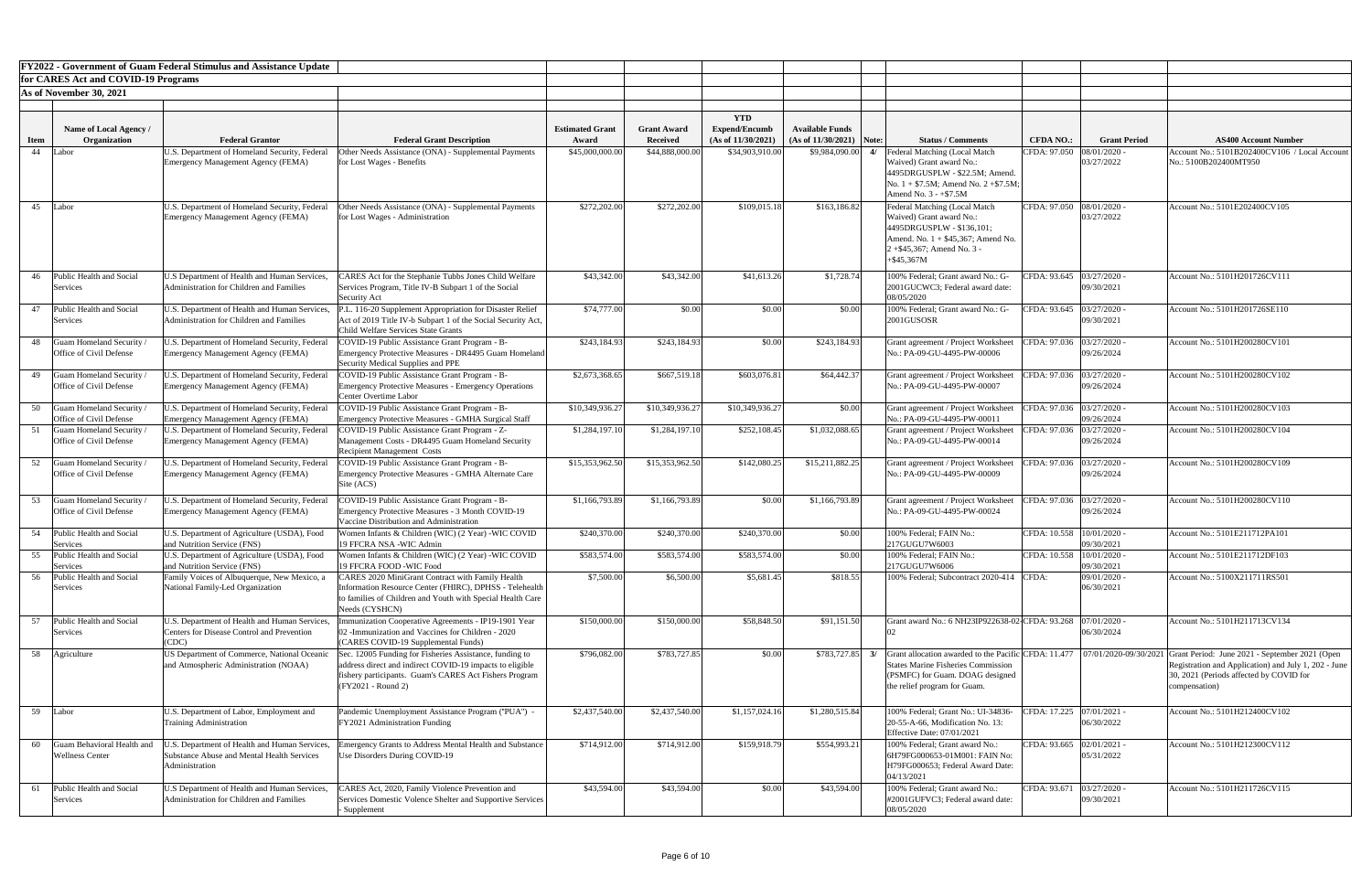|             |                                                             | <b>FY2022 - Government of Guam Federal Stimulus and Assistance Update</b>                                    |                                                                                                                                                                                                                        |                                 |                                       |                                                          |                                                      |                                                                                                                                                                                  |                             |                                           |                                                                                                                                                                                                                                                 |
|-------------|-------------------------------------------------------------|--------------------------------------------------------------------------------------------------------------|------------------------------------------------------------------------------------------------------------------------------------------------------------------------------------------------------------------------|---------------------------------|---------------------------------------|----------------------------------------------------------|------------------------------------------------------|----------------------------------------------------------------------------------------------------------------------------------------------------------------------------------|-----------------------------|-------------------------------------------|-------------------------------------------------------------------------------------------------------------------------------------------------------------------------------------------------------------------------------------------------|
|             | for CARES Act and COVID-19 Programs                         |                                                                                                              |                                                                                                                                                                                                                        |                                 |                                       |                                                          |                                                      |                                                                                                                                                                                  |                             |                                           |                                                                                                                                                                                                                                                 |
|             | As of November 30, 2021                                     |                                                                                                              |                                                                                                                                                                                                                        |                                 |                                       |                                                          |                                                      |                                                                                                                                                                                  |                             |                                           |                                                                                                                                                                                                                                                 |
| <b>Item</b> | Name of Local Agency /<br>Organization                      | <b>Federal Grantor</b>                                                                                       | <b>Federal Grant Description</b>                                                                                                                                                                                       | <b>Estimated Grant</b><br>Award | <b>Grant Award</b><br><b>Received</b> | <b>YTD</b><br><b>Expend/Encumb</b><br>(As of 11/30/2021) | <b>Available Funds</b><br>$(As of 11/30/2021)$ Note: | <b>Status / Comments</b>                                                                                                                                                         | <b>CFDA NO.:</b>            | <b>Grant Period</b>                       | <b>AS400 Account Number</b>                                                                                                                                                                                                                     |
| 44          | Labor                                                       | U.S. Department of Homeland Security, Federal                                                                | Other Needs Assistance (ONA) - Supplemental Payments                                                                                                                                                                   | \$45,000,000.00                 | \$44,888,000.00                       | \$34,903,910.00                                          | \$9,984,090.00                                       | Federal Matching (Local Match                                                                                                                                                    | CFDA: 97.050   08/01/2020 - |                                           | Account No.: 5101B202400CV106 / Local Account                                                                                                                                                                                                   |
|             |                                                             | Emergency Management Agency (FEMA)                                                                           | for Lost Wages - Benefits                                                                                                                                                                                              |                                 |                                       |                                                          |                                                      | Waived) Grant award No.:<br>4495DRGUSPLW - \$22.5M; Amend.<br>No. $1 + $7.5M$ ; Amend No. $2 + $7.5M$ ;<br>Amend No. $3 - +\$7.5M$                                               |                             | 03/27/2022                                | No.: 5100B202400MT950                                                                                                                                                                                                                           |
| 45          | Labor                                                       | U.S. Department of Homeland Security, Federal<br>Emergency Management Agency (FEMA)                          | Other Needs Assistance (ONA) - Supplemental Payments<br>for Lost Wages - Administration                                                                                                                                | \$272,202.00                    | \$272,202.00                          | \$109,015.18                                             | \$163,186.82                                         | Federal Matching (Local Match<br>Waived) Grant award No.:<br>4495DRGUSPLW - \$136,101;<br>Amend. No. $1 + $45,367$ ; Amend No.<br>$2 + $45,367$ ; Amend No. 3 -<br>$+$ \$45,367M | CFDA: 97.050 08/01/2020 -   | 03/27/2022                                | Account No.: 5101E202400CV105                                                                                                                                                                                                                   |
| 46          | Public Health and Social<br>Services                        | U.S Department of Health and Human Services,<br><b>Administration for Children and Families</b>              | CARES Act for the Stephanie Tubbs Jones Child Welfare<br>Services Program, Title IV-B Subpart 1 of the Social<br>Security Act                                                                                          | \$43,342.00                     | \$43,342.00                           | \$41,613.26                                              | \$1,728.74                                           | 100% Federal; Grant award No.: G-<br>2001GUCWC3; Federal award date:<br>08/05/2020                                                                                               |                             | CFDA: 93.645   03/27/2020 -<br>09/30/2021 | Account No.: 5101H201726CV111                                                                                                                                                                                                                   |
|             | 47 Public Health and Social<br>Services                     | U.S. Department of Health and Human Services.<br><b>Administration for Children and Families</b>             | P.L. 116-20 Supplement Appropriation for Disaster Relief<br>Act of 2019 Title IV-b Subpart 1 of the Social Security Act,<br>Child Welfare Services State Grants                                                        | \$74,777.00                     | \$0.00                                | \$0.00                                                   | \$0.00                                               | 100% Federal; Grant award No.: G-<br>2001GUSOSR                                                                                                                                  |                             | CFDA: 93.645 03/27/2020 -<br>09/30/2021   | Account No.: 5101H201726SE110                                                                                                                                                                                                                   |
| 48          | Guam Homeland Security<br>Office of Civil Defense           | U.S. Department of Homeland Security, Federal<br>Emergency Management Agency (FEMA)                          | COVID-19 Public Assistance Grant Program - B-<br>Emergency Protective Measures - DR4495 Guam Homeland<br>Security Medical Supplies and PPE                                                                             | \$243,184.93                    | \$243,184.93                          | \$0.00                                                   | \$243,184.93                                         | Grant agreement / Project Worksheet<br>No.: PA-09-GU-4495-PW-00006                                                                                                               | CFDA: 97.036 03/27/2020 -   | 09/26/2024                                | Account No.: 5101H200280CV101                                                                                                                                                                                                                   |
|             | Office of Civil Defense                                     | Emergency Management Agency (FEMA)                                                                           | 49 Guam Homeland Security / U.S. Department of Homeland Security, Federal COVID-19 Public Assistance Grant Program - B-<br><b>Emergency Protective Measures - Emergency Operations</b><br><b>Center Overtime Labor</b> | \$2,673,368.65                  | \$667,519.18                          | \$603,076.81                                             | \$64,442.37                                          | Grant agreement / Project Worksheet   CFDA: 97.036   03/27/2020 -<br>No.: PA-09-GU-4495-PW-00007                                                                                 |                             | 09/26/2024                                | Account No.: 5101H200280CV102                                                                                                                                                                                                                   |
| 50          | Guam Homeland Security<br>Office of Civil Defense           | J.S. Department of Homeland Security, Federal<br>Emergency Management Agency (FEMA)                          | 'OVID-19 Public Assistance Grant Program - B-<br><b>Emergency Protective Measures - GMHA Surgical Staff</b>                                                                                                            | \$10,349,936.27                 | \$10,349,936.27                       | \$10,349,936.27                                          | \$0.00                                               | Grant agreement / Project Worksheet<br>No.: PA-09-GU-4495-PW-00011                                                                                                               |                             | CFDA: 97.036 03/27/2020 -<br>09/26/2024   | Account No.: 5101H200280CV103                                                                                                                                                                                                                   |
|             | Guam Homeland Security<br>Office of Civil Defense           | J.S. Department of Homeland Security, Federal<br>Emergency Management Agency (FEMA)                          | COVID-19 Public Assistance Grant Program - Z-<br>Management Costs - DR4495 Guam Homeland Security<br><b>Recipient Management Costs</b>                                                                                 | \$1,284,197.10                  | \$1,284,197.10                        | \$252,108.45                                             | \$1,032,088.65                                       | Grant agreement / Project Worksheet<br>No.: PA-09-GU-4495-PW-00014                                                                                                               | CFDA: 97.036                | 03/27/2020<br>09/26/2024                  | Account No.: 5101H200280CV104                                                                                                                                                                                                                   |
| 52          | <b>Guam Homeland Security</b><br>Office of Civil Defense    | J.S. Department of Homeland Security, Federal<br>Emergency Management Agency (FEMA)                          | COVID-19 Public Assistance Grant Program - B-<br><b>Emergency Protective Measures - GMHA Alternate Care</b><br>Site (ACS)                                                                                              | \$15,353,962.50                 | \$15,353,962.50                       | \$142,080.25                                             | \$15,211,882.25                                      | Grant agreement / Project Worksheet<br>No.: PA-09-GU-4495-PW-00009                                                                                                               |                             | CFDA: 97.036 03/27/2020 -<br>09/26/2024   | Account No.: 5101H200280CV109                                                                                                                                                                                                                   |
| 53          | <b>Guam Homeland Security</b><br>Office of Civil Defense    | J.S. Department of Homeland Security, Federal<br>Emergency Management Agency (FEMA)                          | 'OVID-19 Public Assistance Grant Program - B-<br><b>Emergency Protective Measures - 3 Month COVID-19</b><br>Vaccine Distribution and Administration                                                                    | \$1,166,793.89                  | \$1,166,793.89                        | \$0.00                                                   | \$1,166,793.89                                       | Grant agreement / Project Worksheet<br>No.: PA-09-GU-4495-PW-00024                                                                                                               | CFDA: 97.036                | 03/27/2020<br>09/26/2024                  | Account No.: 5101H200280CV110                                                                                                                                                                                                                   |
|             | 54 Public Health and Social<br>Services                     | U.S. Department of Agriculture (USDA), Food<br>and Nutrition Service (FNS)                                   | Women Infants & Children (WIC) (2 Year) -WIC COVID<br>19 FFCRA NSA -WIC Admin                                                                                                                                          | \$240,370.00                    | \$240,370.00                          | \$240,370.00                                             | \$0.00                                               | 100% Federal; FAIN No.:<br>217GUGU7W6003                                                                                                                                         | CFDA: 10.558  10/01/2020 -  | 09/30/2021                                | Account No.: 5101E211712PA101                                                                                                                                                                                                                   |
| 55          | Public Health and Social<br>Services                        | U.S. Department of Agriculture (USDA), Food<br>and Nutrition Service (FNS)                                   | Women Infants & Children (WIC) (2 Year) -WIC COVID<br>19 FFCRA FOOD -WIC Food                                                                                                                                          | \$583,574.00                    | \$583,574.00                          | \$583,574.00                                             | \$0.00                                               | 100% Federal; FAIN No.:<br>217GUGU7W6006                                                                                                                                         | CFDA: 10.558 10/01/2020 -   | 09/30/2021                                | Account No.: 5101E211712DF103                                                                                                                                                                                                                   |
| 56          | Public Health and Social<br>Services                        | Family Voices of Albuquerque, New Mexico, a<br>National Family-Led Organization                              | CARES 2020 MiniGrant Contract with Family Health<br>Information Resource Center (FHIRC), DPHSS - Telehealth<br>to families of Children and Youth with Special Health Care<br>Needs (CYSHCN)                            | \$7,500.00                      | \$6,500.00                            | \$5,681.45                                               | \$818.55                                             | 100% Federal; Subcontract 2020-414 CFDA:                                                                                                                                         |                             | 09/01/2020 -<br>06/30/2021                | Account No.: 5100X211711RS501                                                                                                                                                                                                                   |
|             | Public Health and Social<br>Services                        | U.S. Department of Health and Human Services,<br>Centers for Disease Control and Prevention<br><b>CDC</b>    | munization Cooperative Agreements - IP19-1901 Year<br>02 - Immunization and Vaccines for Children - 2020<br>(CARES COVID-19 Supplemental Funds)                                                                        | \$150,000.00                    | \$150,000.0                           | \$58,848.50                                              | \$91,151.50                                          | Grant award No.: 6 NH23IP922638-02-CFDA: 93.268                                                                                                                                  |                             | 07/01/2020<br>06/30/2024                  | Account No.: 5101H211713CV134                                                                                                                                                                                                                   |
|             | 58 Agriculture                                              | US Department of Commerce, National Oceanic<br>and Atmospheric Administration (NOAA)                         | Sec. 12005 Funding for Fisheries Assistance, funding to<br>address direct and indirect COVID-19 impacts to eligible<br>fishery participants. Guam's CARES Act Fishers Program<br>(FY2021 - Round 2)                    | \$796,082.00                    | \$783,727.85                          | \$0.00                                                   | \$783,727.85                                         | 3/<br><b>States Marine Fisheries Commission</b><br>(PSMFC) for Guam. DOAG designed<br>the relief program for Guam.                                                               |                             |                                           | Grant allocation awarded to the Pacific CFDA: 11.477   07/01/2020-09/30/2021 Grant Period: June 2021 - September 2021 (Open<br>Registration and Application) and July 1, 202 - June<br>30, 2021 (Periods affected by COVID for<br>compensation) |
| 59          | Labor                                                       | U.S. Department of Labor, Employment and<br><b>Training Administration</b>                                   | Pandemic Unemployment Assistance Program ("PUA") -<br>FY2021 Administration Funding                                                                                                                                    | \$2,437,540.00                  | \$2,437,540.00                        | \$1,157,024.16                                           | \$1,280,515.84                                       | 100% Federal; Grant No.: UI-34836-<br>$[20-55-A-66,$ Modification No. 13:<br><b>Effective Date: 07/01/2021</b>                                                                   |                             | CFDA: 17.225 07/01/2021 -<br>06/30/2022   | Account No.: 5101H212400CV102                                                                                                                                                                                                                   |
| 60          | <b>Guam Behavioral Health and</b><br><b>Wellness Center</b> | .S. Department of Health and Human Services,<br>Substance Abuse and Mental Health Services<br>Administration | mergency Grants to Address Mental Health and Substance<br>Use Disorders During COVID-19                                                                                                                                | \$714,912.00                    | \$714,912.00                          | \$159,918.79                                             | \$554,993.21                                         | 100% Federal; Grant award No.:<br>6H79FG000653-01M001: FAIN No:<br>H79FG000653; Federal Award Date:<br>04/13/2021                                                                |                             | CFDA: 93.665   02/01/2021 -<br>05/31/2022 | Account No.: 5101H212300CV112                                                                                                                                                                                                                   |
|             | Public Health and Social<br>Services                        | U.S Department of Health and Human Services,<br>Administration for Children and Families                     | CARES Act, 2020, Family Violence Prevention and<br>Services Domestic Volence Shelter and Supportive Services<br>- Supplement                                                                                           | \$43,594.00                     | \$43,594.00                           | \$0.00                                                   | \$43,594.00                                          | 100% Federal; Grant award No.:<br>#2001GUFVC3; Federal award date:<br>08/05/2020                                                                                                 | CFDA: 93.671                | $03/27/2020$ -<br>09/30/2021              | Account No.: 5101H211726CV115                                                                                                                                                                                                                   |

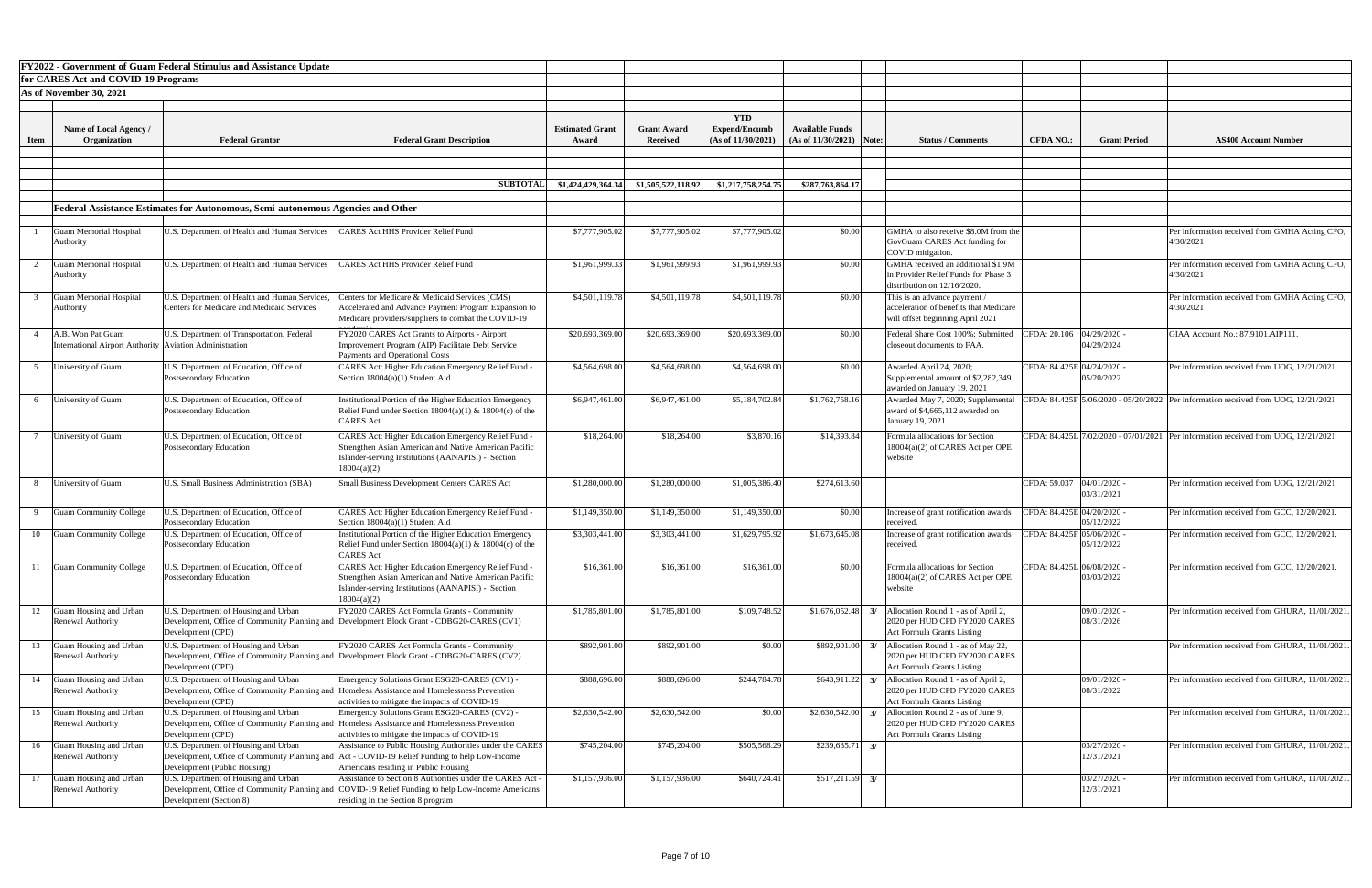|             |                                                                                | FY2022 - Government of Guam Federal Stimulus and Assistance Update                          |                                                                                                                                                                                                      |                                 |                                       |                                                         |                                                      |                                                                                                            |                            |                              |                                                                              |
|-------------|--------------------------------------------------------------------------------|---------------------------------------------------------------------------------------------|------------------------------------------------------------------------------------------------------------------------------------------------------------------------------------------------------|---------------------------------|---------------------------------------|---------------------------------------------------------|------------------------------------------------------|------------------------------------------------------------------------------------------------------------|----------------------------|------------------------------|------------------------------------------------------------------------------|
|             | for CARES Act and COVID-19 Programs                                            |                                                                                             |                                                                                                                                                                                                      |                                 |                                       |                                                         |                                                      |                                                                                                            |                            |                              |                                                                              |
|             | As of November 30, 2021                                                        |                                                                                             |                                                                                                                                                                                                      |                                 |                                       |                                                         |                                                      |                                                                                                            |                            |                              |                                                                              |
| <b>Item</b> | Name of Local Agency /<br>Organization                                         | <b>Federal Grantor</b>                                                                      | <b>Federal Grant Description</b>                                                                                                                                                                     | <b>Estimated Grant</b><br>Award | <b>Grant Award</b><br><b>Received</b> | <b>YTD</b><br><b>Expend/Encumb</b><br>(As of 11/30/2021 | <b>Available Funds</b><br>$(As of 11/30/2021)$ Note: | <b>Status / Comments</b>                                                                                   | <b>CFDA NO.:</b>           | <b>Grant Period</b>          | <b>AS400 Account Number</b>                                                  |
|             |                                                                                |                                                                                             |                                                                                                                                                                                                      |                                 |                                       |                                                         |                                                      |                                                                                                            |                            |                              |                                                                              |
|             |                                                                                |                                                                                             |                                                                                                                                                                                                      |                                 |                                       |                                                         |                                                      |                                                                                                            |                            |                              |                                                                              |
|             |                                                                                |                                                                                             | <b>SUBTOTA</b>                                                                                                                                                                                       | \$1,424,429,364.34              | \$1,505,522,118.92                    | \$1,217,758,254.75                                      | \$287,763,864.17                                     |                                                                                                            |                            |                              |                                                                              |
|             |                                                                                |                                                                                             |                                                                                                                                                                                                      |                                 |                                       |                                                         |                                                      |                                                                                                            |                            |                              |                                                                              |
|             |                                                                                | Federal Assistance Estimates for Autonomous, Semi-autonomous Agencies and Other             |                                                                                                                                                                                                      |                                 |                                       |                                                         |                                                      |                                                                                                            |                            |                              |                                                                              |
|             | <b>Guam Memorial Hospital</b><br>Authority                                     | U.S. Department of Health and Human Services                                                | <b>CARES Act HHS Provider Relief Fund</b>                                                                                                                                                            | \$7,777,905.02                  | \$7,777,905.02                        | \$7,777,905.02                                          | \$0.00                                               | GMHA to also receive \$8.0M from the<br>GovGuam CARES Act funding for<br>COVID mitigation.                 |                            |                              | Per information received from GMHA<br>4/30/2021                              |
|             | <b>Guam Memorial Hospital</b><br><b>Authority</b>                              | U.S. Department of Health and Human Services                                                | CARES Act HHS Provider Relief Fund                                                                                                                                                                   | \$1,961,999.33                  | \$1,961,999.93                        | \$1,961,999.93                                          | \$0.00                                               | GMHA received an additional \$1.9M<br>in Provider Relief Funds for Phase 3<br>distribution on 12/16/2020.  |                            |                              | Per information received from GMHA<br>4/30/2021                              |
|             | <b>Guam Memorial Hospital</b><br>Authority                                     | J.S. Department of Health and Human Services,<br>Centers for Medicare and Medicaid Services | Centers for Medicare & Medicaid Services (CMS)<br>Accelerated and Advance Payment Program Expansion to<br>Medicare providers/suppliers to combat the COVID-19                                        | \$4,501,119.78                  | \$4,501,119.78                        | \$4,501,119.78                                          | \$0.00                                               | This is an advance payment /<br>acceleration of benefits that Medicare<br>will offset beginning April 2021 |                            |                              | Per information received from GMHA<br>4/30/2021                              |
|             | A.B. Won Pat Guam<br>International Airport Authority   Aviation Administration | U.S. Department of Transportation, Federal                                                  | FY2020 CARES Act Grants to Airports - Airport<br>Improvement Program (AIP) Facilitate Debt Service<br>Payments and Operational Costs                                                                 | \$20,693,369.00                 | \$20,693,369.00                       | \$20,693,369.00                                         | \$0.00                                               | Federal Share Cost 100%; Submitted<br>closeout documents to FAA.                                           | CFDA: 20.106  04/29/2020 - | 04/29/2024                   | GIAA Account No.: 87.9101.AIP111                                             |
|             | University of Guam                                                             | U.S. Department of Education, Office of<br>Postsecondary Education                          | CARES Act: Higher Education Emergency Relief Fund -<br>Section 18004(a)(1) Student Aid                                                                                                               | \$4,564,698.00                  | \$4,564,698.00                        | \$4,564,698.00                                          | \$0.00                                               | Awarded April 24, 2020;<br>Supplemental amount of \$2,282,349<br>awarded on January 19, 2021               | CFDA: 84.425E 04/24/2020 - | 05/20/2022                   | Per information received from UOG, 12                                        |
| 6           | University of Guam                                                             | U.S. Department of Education, Office of<br>Postsecondary Education                          | Institutional Portion of the Higher Education Emergency<br>Relief Fund under Section $18004(a)(1)$ & $18004(c)$ of the<br><b>CARES Act</b>                                                           | \$6,947,461.00                  | \$6,947,461.00                        | \$5,184,702.84                                          | \$1,762,758.16                                       | Awarded May 7, 2020; Supplementa<br>award of \$4,665,112 awarded on<br>January 19, 2021                    |                            |                              | CFDA: 84.425F 5/06/2020 - 05/20/2022 Per information received from UOG, 12   |
|             | University of Guam                                                             | U.S. Department of Education, Office of<br>Postsecondary Education                          | <b>CARES Act: Higher Education Emergency Relief Fund</b><br>Strengthen Asian American and Native American Pacific<br>Islander-serving Institutions (AANAPISI) - Section<br>18004(a)(2)               | \$18,264.00                     | \$18,264.00                           | \$3,870.16                                              | \$14,393.84                                          | Formula allocations for Section<br>18004(a)(2) of CARES Act per OPE<br>website                             |                            |                              | CFDA: $84.425L/7/02/2020 - 07/01/2021$ Per information received from UOG, 12 |
|             | University of Guam                                                             | U.S. Small Business Administration (SBA)                                                    | Small Business Development Centers CARES Act                                                                                                                                                         | \$1,280,000.00                  | \$1,280,000.00                        | \$1,005,386.40                                          | \$274,613.60                                         |                                                                                                            | CFDA: 59.037               | 04/01/2020<br>03/31/2021     | Per information received from UOG, 12                                        |
|             | <b>Guam Community College</b>                                                  | J.S. Department of Education, Office of<br>Postsecondary Education                          | <b>CARES Act: Higher Education Emergency Relief Fund</b><br>Section 18004(a)(1) Student Aid                                                                                                          | \$1,149,350.00                  | \$1,149,350.00                        | \$1,149,350.00                                          | \$0.00                                               | Increase of grant notification awards<br>received                                                          | CFDA: 84.425E 04/20/2020 - | 05/12/2022                   | Per information received from GCC, 12                                        |
| 10          | <b>Guam Community College</b>                                                  | J.S. Department of Education, Office of<br>Postsecondary Education                          | Institutional Portion of the Higher Education Emergency<br>Relief Fund under Section $18004(a)(1)$ & $18004(c)$ of the<br><b>CARES</b> Act                                                           | \$3,303,441.00                  | \$3,303,441.00                        | \$1,629,795.92                                          | \$1,673,645.08                                       | Increase of grant notification awards<br>received.                                                         | CFDA: 84.425F 05/06/2020 - | 05/12/2022                   | Per information received from GCC, 12                                        |
|             | Guam Community College                                                         | I.S. Department of Education, Office of<br>Postsecondary Education                          | <b>CARES Act: Higher Education Emergency Relief Fund</b><br>Strengthen Asian American and Native American Pacific<br>Sander-serving Institutions (AANAPISI) - Section<br>18004(a)(2)                 | \$16,361.00                     | \$16,361.00                           | \$16,361.00                                             | \$0.00                                               | Formula allocations for Section<br>18004(a)(2) of CARES Act per OPE<br>website                             | CFDA: 84.425L 06/08/2020 - | 03/03/2022                   | Per information received from GCC, 12                                        |
| 12          | <b>Guam Housing and Urban</b><br><b>Renewal Authority</b>                      | J.S. Department of Housing and Urban<br>Development (CPD)                                   | FY2020 CARES Act Formula Grants - Community<br>Development, Office of Community Planning and Development Block Grant - CDBG20-CARES (CV1)                                                            | \$1,785,801.00                  | \$1,785,801.00                        | \$109,748.52                                            | \$1,676,052.48                                       | Allocation Round 1 - as of April 2,<br>2020 per HUD CPD FY2020 CARES<br><b>Act Formula Grants Listing</b>  |                            | 09/01/2020 -<br>08/31/2026   | Per information received from GHURA                                          |
| 13          | Guam Housing and Urban<br><b>Renewal Authority</b>                             | J.S. Department of Housing and Urban<br>Development (CPD)                                   | FY2020 CARES Act Formula Grants - Community<br>Development, Office of Community Planning and Development Block Grant - CDBG20-CARES (CV2)                                                            | \$892,901.00                    | \$892,901.00                          | \$0.00                                                  | \$892,901.00                                         | Allocation Round 1 - as of May 22,<br>2020 per HUD CPD FY2020 CARES<br><b>Act Formula Grants Listing</b>   |                            |                              | Per information received from GHURA                                          |
| 14          | Guam Housing and Urban<br>Renewal Authority                                    | J.S. Department of Housing and Urban<br>Development (CPD)                                   | Emergency Solutions Grant ESG20-CARES (CV1) -<br>Development, Office of Community Planning and Homeless Assistance and Homelessness Prevention<br>activities to mitigate the impacts of COVID-19     | \$888,696.00                    | \$888,696.00                          | \$244,784.78                                            | \$643,911.22                                         | Allocation Round 1 - as of April 2,<br>2020 per HUD CPD FY2020 CARES<br><b>Act Formula Grants Listing</b>  |                            | 09/01/2020<br>08/31/2022     | Per information received from GHURA                                          |
| 15          | Guam Housing and Urban<br><b>Renewal Authority</b>                             | U.S. Department of Housing and Urban<br>Development (CPD)                                   | Emergency Solutions Grant ESG20-CARES (CV2) -<br>Development, Office of Community Planning and Homeless Assistance and Homelessness Prevention<br>activities to mitigate the impacts of COVID-19     | \$2,630,542.00                  | \$2,630,542.00                        | \$0.00                                                  | \$2,630,542.00                                       | Allocation Round 2 - as of June 9,<br>2020 per HUD CPD FY2020 CARES<br><b>Act Formula Grants Listing</b>   |                            |                              | Per information received from GHURA                                          |
| 16          | Guam Housing and Urban<br><b>Renewal Authority</b>                             | U.S. Department of Housing and Urban<br>Development (Public Housing)                        | Assistance to Public Housing Authorities under the CARES<br>Development, Office of Community Planning and Act - COVID-19 Relief Funding to help Low-Income<br>Americans residing in Public Housing   | \$745,204.00                    | \$745,204.00                          | \$505,568.29                                            | \$239,635.71                                         |                                                                                                            |                            | 03/27/2020 -<br>12/31/2021   | Per information received from GHURA                                          |
| 17          | Guam Housing and Urban<br><b>Renewal Authority</b>                             | U.S. Department of Housing and Urban<br>Development (Section 8)                             | Assistance to Section 8 Authorities under the CARES Act -<br>Development, Office of Community Planning and COVID-19 Relief Funding to help Low-Income Americans<br>residing in the Section 8 program | \$1,157,936.00                  | \$1,157,936.00                        | \$640,724.41                                            | \$517,211.59                                         |                                                                                                            |                            | $03/27/2020$ -<br>12/31/2021 | Per information received from GHURA                                          |

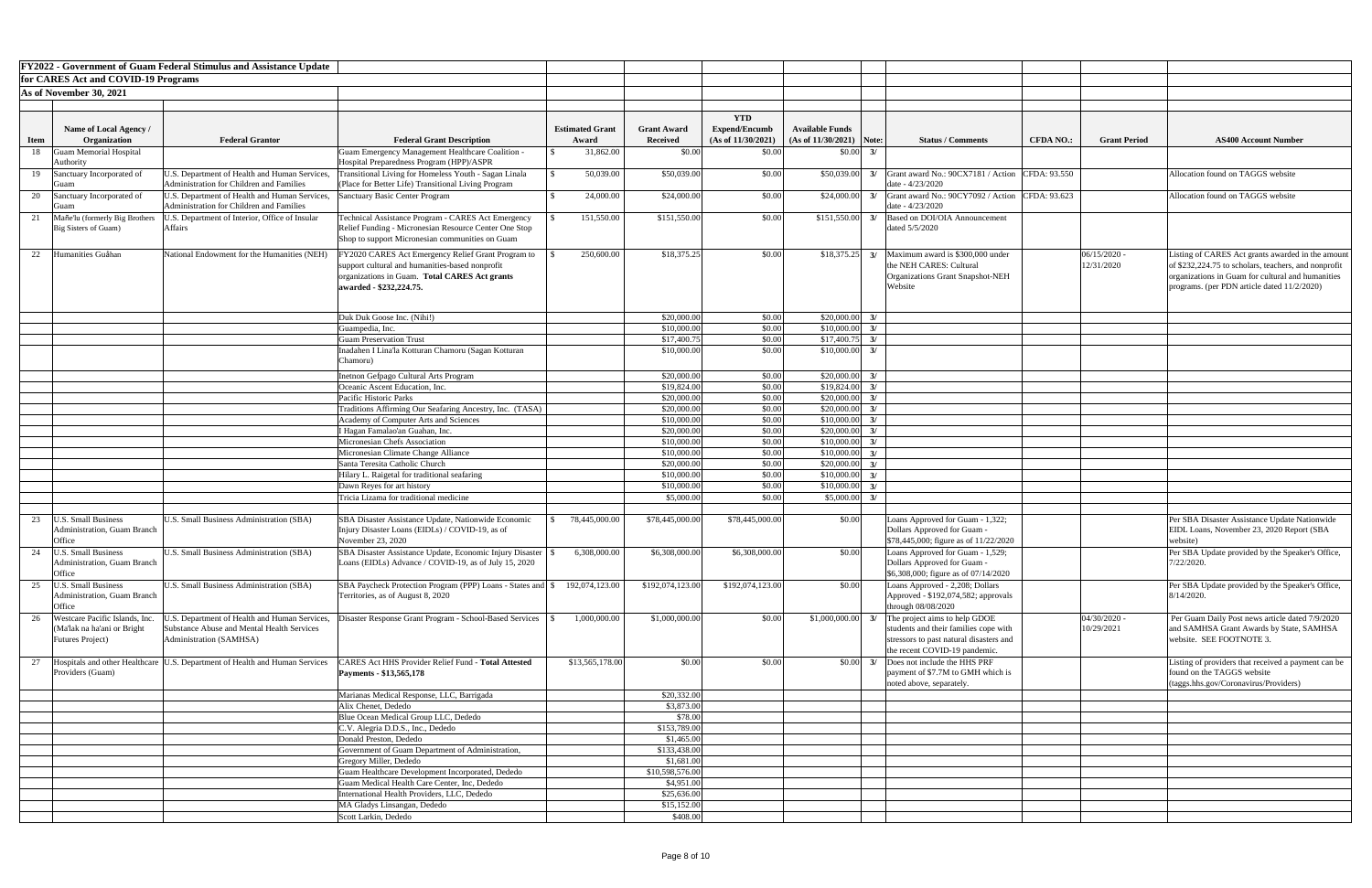|             |                                                         | <b>FY2022 - Government of Guam Federal Stimulus and Assistance Update</b>                        |                                                                                                              |                        |                               |                                    |                                        |                                                                                  |                  |                     |                                                                      |
|-------------|---------------------------------------------------------|--------------------------------------------------------------------------------------------------|--------------------------------------------------------------------------------------------------------------|------------------------|-------------------------------|------------------------------------|----------------------------------------|----------------------------------------------------------------------------------|------------------|---------------------|----------------------------------------------------------------------|
|             | for CARES Act and COVID-19 Programs                     |                                                                                                  |                                                                                                              |                        |                               |                                    |                                        |                                                                                  |                  |                     |                                                                      |
|             | As of November 30, 2021                                 |                                                                                                  |                                                                                                              |                        |                               |                                    |                                        |                                                                                  |                  |                     |                                                                      |
|             |                                                         |                                                                                                  |                                                                                                              |                        |                               |                                    |                                        |                                                                                  |                  |                     |                                                                      |
|             |                                                         |                                                                                                  |                                                                                                              |                        |                               |                                    |                                        |                                                                                  |                  |                     |                                                                      |
|             | Name of Local Agency /                                  |                                                                                                  |                                                                                                              | <b>Estimated Grant</b> | <b>Grant Award</b>            | <b>YTD</b><br><b>Expend/Encumb</b> | <b>Available Funds</b>                 |                                                                                  |                  |                     |                                                                      |
| <b>Item</b> | Organization                                            | <b>Federal Grantor</b>                                                                           | <b>Federal Grant Description</b>                                                                             | Award                  | <b>Received</b>               | (As of 11/30/2021)                 | $(As of 11/30/2021)$ Note:             | <b>Status / Comments</b>                                                         | <b>CFDA NO.:</b> | <b>Grant Period</b> | <b>AS400 Account Number</b>                                          |
| 18          | <b>Guam Memorial Hospital</b>                           |                                                                                                  | <b>Guam Emergency Management Healthcare Coalition -</b>                                                      | 31,862.00              | \$0.00                        | \$0.00                             | \$0.00<br>3/                           |                                                                                  |                  |                     |                                                                      |
|             | Authority                                               |                                                                                                  | Hospital Preparedness Program (HPP)/ASPR                                                                     |                        |                               |                                    |                                        |                                                                                  |                  |                     |                                                                      |
|             | 19 Sanctuary Incorporated of                            | U.S. Department of Health and Human Services,<br><b>Administration for Children and Families</b> | Transitional Living for Homeless Youth - Sagan Linala<br>(Place for Better Life) Transitional Living Program | 50,039.00              | \$50,039.00                   | \$0.00                             | \$50,039.00                            | $3/$ Grant award No.: 90CX7181 / Action<br>date - 4/23/2020                      | CFDA: 93.550     |                     | Allocation found on TAGGS website                                    |
| 20          | Sanctuary Incorporated of                               | U.S. Department of Health and Human Services,                                                    | Sanctuary Basic Center Program                                                                               | 24,000.00              | \$24,000.00                   | \$0.00                             | \$24,000.00<br>3/                      | Grant award No.: $90CY7092 / Action$ CFDA: $93.623$                              |                  |                     | Allocation found on TAGGS website                                    |
|             | Mañe'lu (formerly Big Brothers                          | Administration for Children and Families<br>U.S. Department of Interior, Office of Insular       | Technical Assistance Program - CARES Act Emergency                                                           | 151,550.00             | \$151,550.00                  | \$0.00                             | \$151,550.00<br>3/                     | date - 4/23/2020<br>Based on DOI/OIA Announcement                                |                  |                     |                                                                      |
|             | Big Sisters of Guam)                                    | <b>Affairs</b>                                                                                   | Relief Funding - Micronesian Resource Center One Stop                                                        |                        |                               |                                    |                                        | dated 5/5/2020                                                                   |                  |                     |                                                                      |
|             |                                                         |                                                                                                  | Shop to support Micronesian communities on Guam                                                              |                        |                               |                                    |                                        |                                                                                  |                  |                     |                                                                      |
| 22          | Humanities Guåhan                                       | National Endowment for the Humanities (NEH)                                                      |                                                                                                              | 250,600.00             | \$18,375.25                   | \$0.00                             | \$18,375.25<br>3/                      | Maximum award is \$300,000 under                                                 |                  | 06/15/2020          | Listing of CARES Act grants awarded in the amount                    |
|             |                                                         |                                                                                                  | FY2020 CARES Act Emergency Relief Grant Program to<br>support cultural and humanities-based nonprofit        |                        |                               |                                    |                                        | the NEH CARES: Cultural                                                          |                  | 12/31/2020          | of \$232,224.75 to scholars, teachers, and nonprofit                 |
|             |                                                         |                                                                                                  | organizations in Guam. Total CARES Act grants                                                                |                        |                               |                                    |                                        | Organizations Grant Snapshot-NEH                                                 |                  |                     | organizations in Guam for cultural and humanities                    |
|             |                                                         |                                                                                                  | awarded - \$232,224.75.                                                                                      |                        |                               |                                    |                                        | Website                                                                          |                  |                     | programs. (per PDN article dated 11/2/2020)                          |
|             |                                                         |                                                                                                  |                                                                                                              |                        |                               |                                    |                                        |                                                                                  |                  |                     |                                                                      |
|             |                                                         |                                                                                                  |                                                                                                              |                        |                               |                                    |                                        |                                                                                  |                  |                     |                                                                      |
|             |                                                         |                                                                                                  | Duk Duk Goose Inc. (Nihi!)                                                                                   |                        | \$20,000.00                   | \$0.00                             | \$20,000.00<br>3/                      |                                                                                  |                  |                     |                                                                      |
|             |                                                         |                                                                                                  | Guampedia, Inc.                                                                                              |                        | \$10,000.00                   | \$0.00                             | \$10,000.00<br>3/                      |                                                                                  |                  |                     |                                                                      |
|             |                                                         |                                                                                                  | <b>Guam Preservation Trust</b><br>Inadahen I Lina'la Kotturan Chamoru (Sagan Kotturan                        |                        | \$17,400.75<br>\$10,000.00    | \$0.00<br>\$0.00                   | \$17,400.7<br>3/<br>\$10,000.0<br>3/   |                                                                                  |                  |                     |                                                                      |
|             |                                                         |                                                                                                  | Chamoru)                                                                                                     |                        |                               |                                    |                                        |                                                                                  |                  |                     |                                                                      |
|             |                                                         |                                                                                                  |                                                                                                              |                        |                               |                                    |                                        |                                                                                  |                  |                     |                                                                      |
|             |                                                         |                                                                                                  | Inetnon Gefpago Cultural Arts Program<br>Oceanic Ascent Education, Inc.                                      |                        | \$20,000.00<br>\$19,824.00    | \$0.00<br>\$0.00                   | \$20,000.00<br>3/<br>\$19,824.00<br>3/ |                                                                                  |                  |                     |                                                                      |
|             |                                                         |                                                                                                  | Pacific Historic Parks                                                                                       |                        | \$20,000.00                   | \$0.00                             | \$20,000.00<br>3/                      |                                                                                  |                  |                     |                                                                      |
|             |                                                         |                                                                                                  | Traditions Affirming Our Seafaring Ancestry, Inc. (TASA)                                                     |                        | \$20,000.00                   | \$0.00                             | \$20,000.00<br>3/                      |                                                                                  |                  |                     |                                                                      |
|             |                                                         |                                                                                                  | Academy of Computer Arts and Sciences                                                                        |                        | \$10,000.00                   | \$0.00                             | \$10,000.0<br>3/                       |                                                                                  |                  |                     |                                                                      |
|             |                                                         |                                                                                                  | I Hagan Famalao'an Guahan, Inc.                                                                              |                        | \$20,000.00                   | \$0.00                             | \$20,000.0<br>3/                       |                                                                                  |                  |                     |                                                                      |
|             |                                                         |                                                                                                  | Micronesian Chefs Association                                                                                |                        | \$10,000.00                   | \$0.00                             | \$10,000.00<br>3/                      |                                                                                  |                  |                     |                                                                      |
|             |                                                         |                                                                                                  | Micronesian Climate Change Alliance                                                                          |                        | \$10,000.00                   | \$0.00                             | \$10,000.00<br>3/                      |                                                                                  |                  |                     |                                                                      |
|             |                                                         |                                                                                                  | Santa Teresita Catholic Church                                                                               |                        | \$20,000.00                   | \$0.00                             | \$20,000.0<br>3/                       |                                                                                  |                  |                     |                                                                      |
|             |                                                         |                                                                                                  | Hilary L. Raigetal for traditional seafaring                                                                 |                        | \$10,000.00                   | \$0.00                             | \$10,000.00<br>3/                      |                                                                                  |                  |                     |                                                                      |
|             |                                                         |                                                                                                  | Dawn Reyes for art history                                                                                   |                        | \$10,000.00                   | \$0.00                             | \$10,000.0<br>3/                       |                                                                                  |                  |                     |                                                                      |
|             |                                                         |                                                                                                  | Tricia Lizama for traditional medicine                                                                       |                        | \$5,000.00                    | \$0.00                             | \$5,000.00<br>$\mathcal{E}$            |                                                                                  |                  |                     |                                                                      |
| 23          | J.S. Small Business                                     | U.S. Small Business Administration (SBA)                                                         | SBA Disaster Assistance Update, Nationwide Economic                                                          | 78,445,000.00          | \$78,445,000.00               | \$78,445,000.00                    | \$0.00                                 | Loans Approved for Guam - 1,322;                                                 |                  |                     | Per SBA Disaster Assistance Update Nationwide                        |
|             | <b>Administration, Guam Branch</b>                      |                                                                                                  | Injury Disaster Loans (EIDLs) / COVID-19, as of                                                              |                        |                               |                                    |                                        | Dollars Approved for Guam -                                                      |                  |                     | EIDL Loans, November 23, 2020 Report (SBA                            |
|             | Office                                                  |                                                                                                  | November $23, 2020$                                                                                          |                        |                               |                                    |                                        | \$78,445,000; figure as of 11/22/2020                                            |                  |                     | website)                                                             |
| 24          | <b>U.S. Small Business</b>                              | U.S. Small Business Administration (SBA)                                                         | SBA Disaster Assistance Update, Economic Injury Disaster                                                     | 6,308,000.00           | \$6,308,000.00                | \$6,308,000.00                     | \$0.00                                 | Loans Approved for Guam - 1,529;                                                 |                  |                     | Per SBA Update provided by the Speaker's Office,                     |
|             | <b>Administration, Guam Branch</b>                      |                                                                                                  | Loans (EIDLs) Advance / COVID-19, as of July 15, 2020                                                        |                        |                               |                                    |                                        | Dollars Approved for Guam -                                                      |                  |                     | 7/22/2020.                                                           |
|             | Office                                                  |                                                                                                  |                                                                                                              |                        |                               |                                    |                                        | $\$6,308,000$ ; figure as of 07/14/2020                                          |                  |                     |                                                                      |
| 25          | <b>U.S. Small Business</b>                              | U.S. Small Business Administration (SBA)                                                         | SBA Paycheck Protection Program (PPP) Loans - States and \\$                                                 | 192,074,123.00         | \$192,074,123.00              | \$192,074,123.00                   | \$0.00                                 | Loans Approved - 2,208; Dollars                                                  |                  |                     | Per SBA Update provided by the Speaker's Office,                     |
|             | <b>Administration, Guam Branch</b>                      |                                                                                                  | Territories, as of August 8, 2020                                                                            |                        |                               |                                    |                                        | Approved - \$192,074,582; approvals                                              |                  |                     | $8/14/2020$ .                                                        |
|             | Office                                                  |                                                                                                  |                                                                                                              |                        |                               |                                    |                                        | through 08/08/2020                                                               |                  |                     |                                                                      |
|             | Westcare Pacific Islands, Inc.                          | U.S. Department of Health and Human Services,                                                    | Disaster Response Grant Program - School-Based Services                                                      | 1,000,000.00           | \$1,000,000.00                | \$0.00                             | \$1,000,000.00                         | The project aims to help GDOE                                                    |                  | 04/30/2020          | Per Guam Daily Post news article dated 7/9/2020                      |
|             | (Ma'lak na ha'ani or Bright<br><b>Futures Project</b> ) | Substance Abuse and Mental Health Services<br>Administration (SAMHSA)                            |                                                                                                              |                        |                               |                                    |                                        | students and their families cope with<br>stressors to past natural disasters and |                  | 10/29/2021          | and SAMHSA Grant Awards by State, SAMHSA<br>website. SEE FOOTNOTE 3. |
|             |                                                         |                                                                                                  |                                                                                                              |                        |                               |                                    |                                        | the recent COVID-19 pandemic.                                                    |                  |                     |                                                                      |
| 27          |                                                         | Hospitals and other Healthcare   U.S. Department of Health and Human Services                    | 'ARES Act HHS Provider Relief Fund - Total Attested                                                          | \$13,565,178.00        | \$0.00                        | \$0.00                             | \$0.00<br>3/                           | Does not include the HHS PRF                                                     |                  |                     | Listing of providers that received a payment can be                  |
|             | Providers (Guam)                                        |                                                                                                  | Payments - \$13,565,178                                                                                      |                        |                               |                                    |                                        | payment of \$7.7M to GMH which is                                                |                  |                     | found on the TAGGS website                                           |
|             |                                                         |                                                                                                  |                                                                                                              |                        |                               |                                    |                                        | noted above, separately.                                                         |                  |                     | (taggs.hhs.gov/Coronavirus/Providers)                                |
|             |                                                         |                                                                                                  | Marianas Medical Response, LLC, Barrigada                                                                    |                        | \$20,332.00                   |                                    |                                        |                                                                                  |                  |                     |                                                                      |
|             |                                                         |                                                                                                  | Alix Chenet, Dededo                                                                                          |                        | \$3,873.00                    |                                    |                                        |                                                                                  |                  |                     |                                                                      |
|             |                                                         |                                                                                                  | Blue Ocean Medical Group LLC, Dededo                                                                         |                        | \$78.00                       |                                    |                                        |                                                                                  |                  |                     |                                                                      |
|             |                                                         |                                                                                                  | C.V. Alegria D.D.S., Inc., Dededo                                                                            |                        | \$153,789.00                  |                                    |                                        |                                                                                  |                  |                     |                                                                      |
|             |                                                         |                                                                                                  | Donald Preston, Dededo                                                                                       |                        | \$1,465.00                    |                                    |                                        |                                                                                  |                  |                     |                                                                      |
|             |                                                         |                                                                                                  | Government of Guam Department of Administration,                                                             |                        | \$133,438.00                  |                                    |                                        |                                                                                  |                  |                     |                                                                      |
|             |                                                         |                                                                                                  | Gregory Miller, Dededo                                                                                       |                        | \$1,681.00                    |                                    |                                        |                                                                                  |                  |                     |                                                                      |
|             |                                                         |                                                                                                  | Guam Healthcare Development Incorporated, Dededo<br>Guam Medical Health Care Center, Inc, Dededo             |                        | \$10,598,576.00<br>\$4,951.00 |                                    |                                        |                                                                                  |                  |                     |                                                                      |
|             |                                                         |                                                                                                  | International Health Providers, LLC, Dededo                                                                  |                        | \$25,636.00                   |                                    |                                        |                                                                                  |                  |                     |                                                                      |
|             |                                                         |                                                                                                  | MA Gladys Linsangan, Dededo                                                                                  |                        | \$15,152.00                   |                                    |                                        |                                                                                  |                  |                     |                                                                      |
|             |                                                         |                                                                                                  | Scott Larkin, Dededo                                                                                         |                        | \$408.00                      |                                    |                                        |                                                                                  |                  |                     |                                                                      |
|             |                                                         |                                                                                                  |                                                                                                              |                        |                               |                                    |                                        |                                                                                  |                  |                     |                                                                      |

| nt Number                |
|--------------------------|
|                          |
|                          |
| S website                |
|                          |
| S website                |
|                          |
|                          |
|                          |
| ts awarded in the amount |
| teachers, and nonprofit  |
| cultural and humanities  |
| dated 11/2/2020)         |
|                          |
|                          |
|                          |
|                          |
|                          |
|                          |
|                          |
|                          |
|                          |
|                          |
|                          |
|                          |
|                          |
|                          |
|                          |
|                          |
|                          |
| e Update Nationwide      |
| 2020 Report (SBA         |
|                          |
| by the Speaker's Office, |
|                          |
|                          |
| by the Speaker's Office, |
|                          |
| article dated 7/9/2020   |
| ds by State, SAMHSA      |
| 3.                       |
|                          |
| eived a payment can be   |
| ite                      |
| /Providers)              |
|                          |
|                          |
|                          |
|                          |
|                          |
|                          |
|                          |
|                          |
|                          |
|                          |
|                          |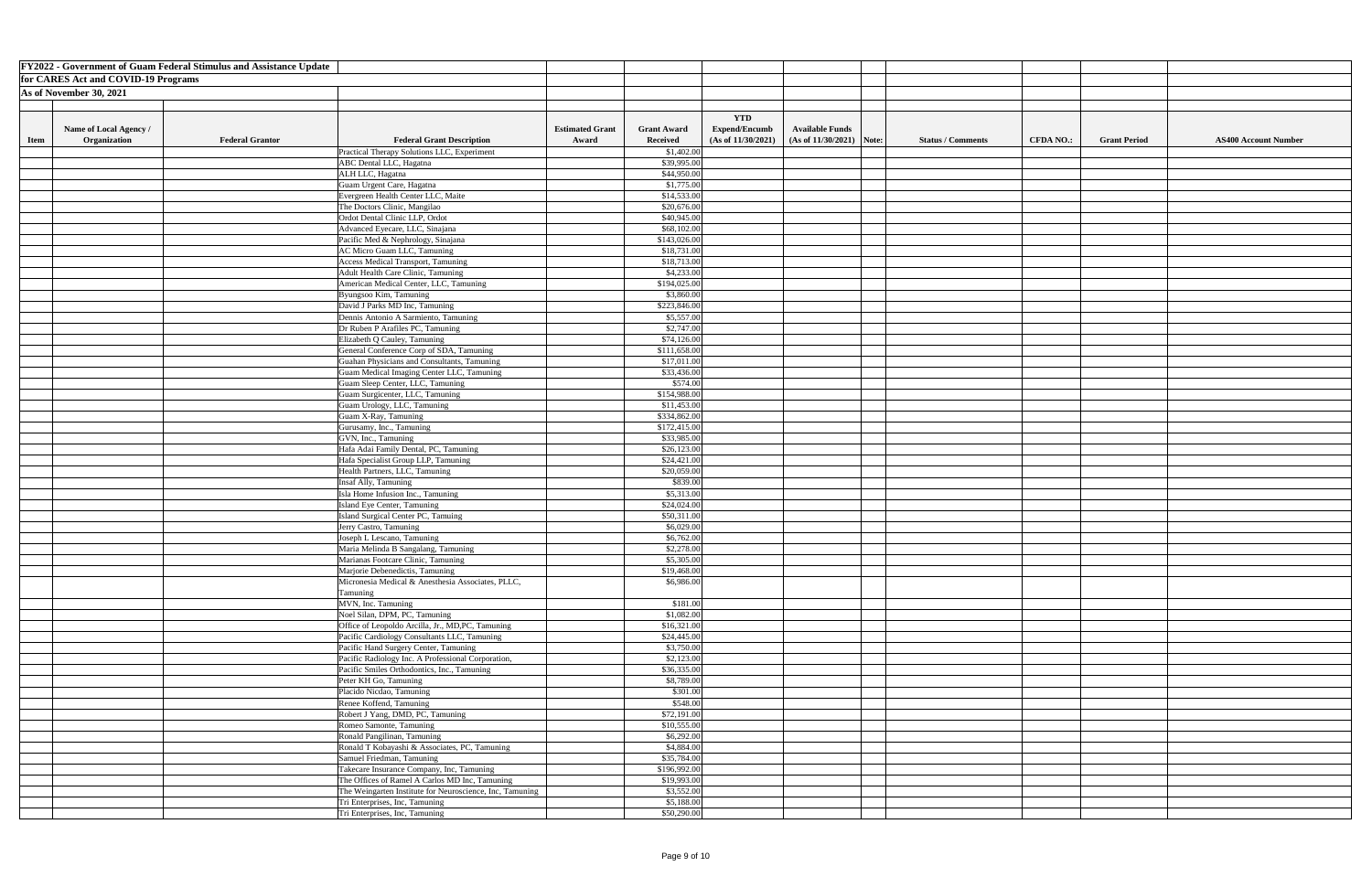|             |                                     | <b>FY2022 - Government of Guam Federal Stimulus and Assistance Update</b> |                                                                                                   |                        |                          |                                    |                                     |                          |                  |                     |                             |
|-------------|-------------------------------------|---------------------------------------------------------------------------|---------------------------------------------------------------------------------------------------|------------------------|--------------------------|------------------------------------|-------------------------------------|--------------------------|------------------|---------------------|-----------------------------|
|             | for CARES Act and COVID-19 Programs |                                                                           |                                                                                                   |                        |                          |                                    |                                     |                          |                  |                     |                             |
|             | As of November 30, 2021             |                                                                           |                                                                                                   |                        |                          |                                    |                                     |                          |                  |                     |                             |
|             |                                     |                                                                           |                                                                                                   |                        |                          |                                    |                                     |                          |                  |                     |                             |
|             |                                     |                                                                           |                                                                                                   |                        |                          |                                    |                                     |                          |                  |                     |                             |
|             | Name of Local Agency /              |                                                                           |                                                                                                   | <b>Estimated Grant</b> | <b>Grant Award</b>       | <b>YTD</b><br><b>Expend/Encumb</b> | <b>Available Funds</b>              |                          |                  |                     |                             |
| <b>Item</b> | <b>Organization</b>                 | <b>Federal Grantor</b>                                                    | <b>Federal Grant Description</b>                                                                  | Award                  | <b>Received</b>          | (As of 11/30/2021)                 | $(As \text{ of } 11/30/2021)$ Note: | <b>Status / Comments</b> | <b>CFDA NO.:</b> | <b>Grant Period</b> | <b>AS400 Account Number</b> |
|             |                                     |                                                                           | Practical Therapy Solutions LLC, Experiment                                                       |                        | \$1,402.00               |                                    |                                     |                          |                  |                     |                             |
|             |                                     |                                                                           | <b>ABC</b> Dental LLC, Hagatna                                                                    |                        | \$39,995.00              |                                    |                                     |                          |                  |                     |                             |
|             |                                     |                                                                           |                                                                                                   |                        | \$44,950.00              |                                    |                                     |                          |                  |                     |                             |
|             |                                     |                                                                           | ALH LLC, Hagatna                                                                                  |                        |                          |                                    |                                     |                          |                  |                     |                             |
|             |                                     |                                                                           | Guam Urgent Care, Hagatna                                                                         |                        | \$1,775.00               |                                    |                                     |                          |                  |                     |                             |
|             |                                     |                                                                           | Evergreen Health Center LLC, Maite                                                                |                        | \$14,533.00              |                                    |                                     |                          |                  |                     |                             |
|             |                                     |                                                                           | The Doctors Clinic, Mangilao                                                                      |                        | \$20,676.00              |                                    |                                     |                          |                  |                     |                             |
|             |                                     |                                                                           | Ordot Dental Clinic LLP, Ordot                                                                    |                        | \$40,945.00              |                                    |                                     |                          |                  |                     |                             |
|             |                                     |                                                                           | Advanced Eyecare, LLC, Sinajana                                                                   |                        | \$68,102.00              |                                    |                                     |                          |                  |                     |                             |
|             |                                     |                                                                           | Pacific Med & Nephrology, Sinajana                                                                |                        | \$143,026.00             |                                    |                                     |                          |                  |                     |                             |
|             |                                     |                                                                           | AC Micro Guam LLC, Tamuning                                                                       |                        | \$18,731.00              |                                    |                                     |                          |                  |                     |                             |
|             |                                     |                                                                           | Access Medical Transport, Tamuning                                                                |                        | \$18,713.00              |                                    |                                     |                          |                  |                     |                             |
|             |                                     |                                                                           | Adult Health Care Clinic, Tamuning                                                                |                        | \$4,233.00               |                                    |                                     |                          |                  |                     |                             |
|             |                                     |                                                                           | American Medical Center, LLC, Tamuning                                                            |                        | \$194,025.00             |                                    |                                     |                          |                  |                     |                             |
|             |                                     |                                                                           | Byungsoo Kim, Tamuning                                                                            |                        | \$3,860.00               |                                    |                                     |                          |                  |                     |                             |
|             |                                     |                                                                           | David J Parks MD Inc, Tamuning                                                                    |                        | \$223,846.00             |                                    |                                     |                          |                  |                     |                             |
|             |                                     |                                                                           | Dennis Antonio A Sarmiento, Tamuning                                                              |                        | \$5,557.00               |                                    |                                     |                          |                  |                     |                             |
|             |                                     |                                                                           | Dr Ruben P Arafiles PC, Tamuning                                                                  |                        | \$2,747.00               |                                    |                                     |                          |                  |                     |                             |
|             |                                     |                                                                           | Elizabeth Q Cauley, Tamuning                                                                      |                        | \$74,126.00              |                                    |                                     |                          |                  |                     |                             |
|             |                                     |                                                                           | General Conference Corp of SDA, Tamuning                                                          |                        | \$111,658.00             |                                    |                                     |                          |                  |                     |                             |
|             |                                     |                                                                           | Guahan Physicians and Consultants, Tamuning                                                       |                        | \$17,011.00              |                                    |                                     |                          |                  |                     |                             |
|             |                                     |                                                                           | Guam Medical Imaging Center LLC, Tamuning                                                         |                        | \$33,436.00              |                                    |                                     |                          |                  |                     |                             |
|             |                                     |                                                                           | Guam Sleep Center, LLC, Tamuning                                                                  |                        | \$574.00                 |                                    |                                     |                          |                  |                     |                             |
|             |                                     |                                                                           | Guam Surgicenter, LLC, Tamuning                                                                   |                        | \$154,988.00             |                                    |                                     |                          |                  |                     |                             |
|             |                                     |                                                                           | Guam Urology, LLC, Tamuning                                                                       |                        | \$11,453.00              |                                    |                                     |                          |                  |                     |                             |
|             |                                     |                                                                           | Guam X-Ray, Tamuning                                                                              |                        | \$334,862.00             |                                    |                                     |                          |                  |                     |                             |
|             |                                     |                                                                           | Gurusamy, Inc., Tamuning                                                                          |                        | \$172,415.00             |                                    |                                     |                          |                  |                     |                             |
|             |                                     |                                                                           | GVN, Inc., Tamuning                                                                               |                        | \$33,985.00              |                                    |                                     |                          |                  |                     |                             |
|             |                                     |                                                                           | Hafa Adai Family Dental, PC, Tamuning                                                             |                        | \$26,123.00              |                                    |                                     |                          |                  |                     |                             |
|             |                                     |                                                                           | Hafa Specialist Group LLP, Tamuning                                                               |                        | \$24,421.00              |                                    |                                     |                          |                  |                     |                             |
|             |                                     |                                                                           | Health Partners, LLC, Tamuning                                                                    |                        | \$20,059.00              |                                    |                                     |                          |                  |                     |                             |
|             |                                     |                                                                           | Insaf Ally, Tamuning                                                                              |                        | \$839.00                 |                                    |                                     |                          |                  |                     |                             |
|             |                                     |                                                                           | Isla Home Infusion Inc., Tamuning                                                                 |                        | \$5,313.00               |                                    |                                     |                          |                  |                     |                             |
|             |                                     |                                                                           | Island Eye Center, Tamuning                                                                       |                        | \$24,024.00              |                                    |                                     |                          |                  |                     |                             |
|             |                                     |                                                                           | Island Surgical Center PC, Tamuing                                                                |                        | \$50,311.00              |                                    |                                     |                          |                  |                     |                             |
|             |                                     |                                                                           | Jerry Castro, Tamuning                                                                            |                        | \$6,029.00               |                                    |                                     |                          |                  |                     |                             |
|             |                                     |                                                                           | Joseph L Lescano, Tamuning                                                                        |                        | \$6,762.00               |                                    |                                     |                          |                  |                     |                             |
|             |                                     |                                                                           | Maria Melinda B Sangalang, Tamuning                                                               |                        | \$2,278.00               |                                    |                                     |                          |                  |                     |                             |
|             |                                     |                                                                           | Marianas Footcare Clinic, Tamuning                                                                |                        | \$5,305.00               |                                    |                                     |                          |                  |                     |                             |
|             |                                     |                                                                           | Marjorie Debenedictis, Tamuning                                                                   |                        | \$19,468.00              |                                    |                                     |                          |                  |                     |                             |
|             |                                     |                                                                           | Micronesia Medical & Anesthesia Associates, PLLC,                                                 |                        | \$6,986.00               |                                    |                                     |                          |                  |                     |                             |
|             |                                     |                                                                           | Tamuning                                                                                          |                        |                          |                                    |                                     |                          |                  |                     |                             |
|             |                                     |                                                                           | MVN, Inc. Tamuning                                                                                |                        | \$181.00                 |                                    |                                     |                          |                  |                     |                             |
|             |                                     |                                                                           | Noel Silan, DPM, PC, Tamuning                                                                     |                        | \$1,082.00               |                                    |                                     |                          |                  |                     |                             |
|             |                                     |                                                                           | Office of Leopoldo Arcilla, Jr., MD,PC, Tamuning                                                  |                        | \$16,321.00              |                                    |                                     |                          |                  |                     |                             |
|             |                                     |                                                                           | Pacific Cardiology Consultants LLC, Tamuning                                                      |                        | \$24,445.00              |                                    |                                     |                          |                  |                     |                             |
|             |                                     |                                                                           | Pacific Hand Surgery Center, Tamuning                                                             |                        | \$3,750.00<br>\$2,123.00 |                                    |                                     |                          |                  |                     |                             |
|             |                                     |                                                                           | Pacific Radiology Inc. A Professional Corporation,<br>Pacific Smiles Orthodontics, Inc., Tamuning |                        | \$36,335.00              |                                    |                                     |                          |                  |                     |                             |
|             |                                     |                                                                           |                                                                                                   |                        |                          |                                    |                                     |                          |                  |                     |                             |
|             |                                     |                                                                           | Peter KH Go, Tamuning                                                                             |                        | \$8,789.00               |                                    |                                     |                          |                  |                     |                             |
|             |                                     |                                                                           | Placido Nicdao, Tamuning                                                                          |                        | \$301.00<br>\$548.00     |                                    |                                     |                          |                  |                     |                             |
|             |                                     |                                                                           | Renee Koffend, Tamuning                                                                           |                        | \$72,191.00              |                                    |                                     |                          |                  |                     |                             |
|             |                                     |                                                                           | Robert J Yang, DMD, PC, Tamuning<br>Romeo Samonte, Tamuning                                       |                        | \$10,555.00              |                                    |                                     |                          |                  |                     |                             |
|             |                                     |                                                                           | Ronald Pangilinan, Tamuning                                                                       |                        | \$6,292.00               |                                    |                                     |                          |                  |                     |                             |
|             |                                     |                                                                           |                                                                                                   |                        | \$4,884.00               |                                    |                                     |                          |                  |                     |                             |
|             |                                     |                                                                           | Ronald T Kobayashi & Associates, PC, Tamuning<br>Samuel Friedman, Tamuning                        |                        | \$35,784.00              |                                    |                                     |                          |                  |                     |                             |
|             |                                     |                                                                           | Takecare Insurance Company, Inc, Tamuning                                                         |                        | \$196,992.00             |                                    |                                     |                          |                  |                     |                             |
|             |                                     |                                                                           | The Offices of Ramel A Carlos MD Inc, Tamuning                                                    |                        | \$19,993.00              |                                    |                                     |                          |                  |                     |                             |
|             |                                     |                                                                           | The Weingarten Institute for Neuroscience, Inc, Tamuning                                          |                        | \$3,552.00               |                                    |                                     |                          |                  |                     |                             |
|             |                                     |                                                                           | Tri Enterprises, Inc, Tamuning                                                                    |                        | \$5,188.00               |                                    |                                     |                          |                  |                     |                             |
|             |                                     |                                                                           | Tri Enterprises, Inc, Tamuning                                                                    |                        | \$50,290.00              |                                    |                                     |                          |                  |                     |                             |
|             |                                     |                                                                           |                                                                                                   |                        |                          |                                    |                                     |                          |                  |                     |                             |

| nt Number |
|-----------|
|           |
|           |
|           |
|           |
|           |
|           |
|           |
|           |
|           |
|           |
|           |
|           |
|           |
|           |
|           |
|           |
|           |
|           |
|           |
|           |
|           |
|           |
|           |
|           |
|           |
|           |
|           |
|           |
|           |
|           |
|           |
|           |
|           |
|           |
|           |
|           |
|           |
|           |
|           |
|           |
|           |
|           |
|           |
|           |
|           |
|           |
|           |
|           |
|           |
|           |
|           |
|           |
|           |
|           |
|           |
|           |
|           |